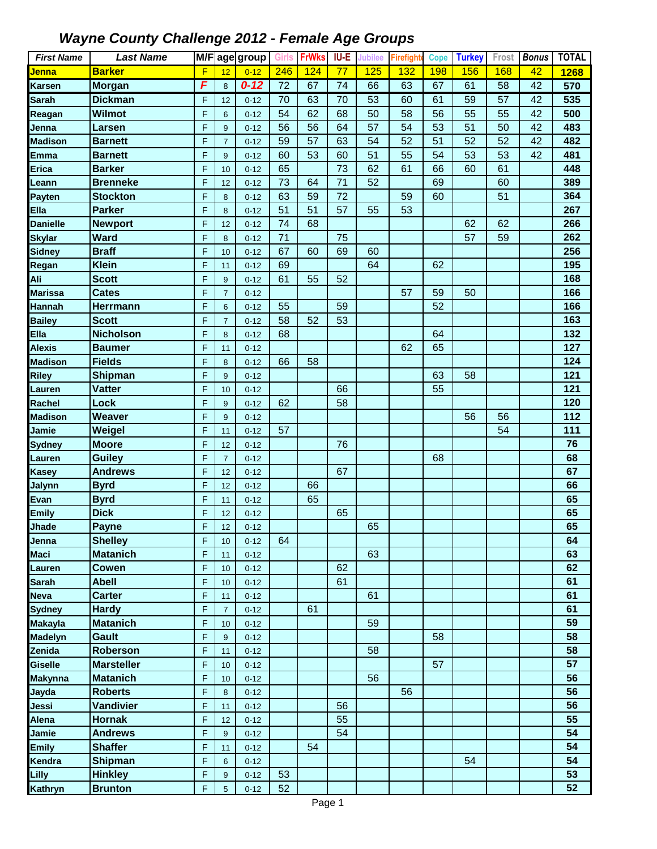| <b>First Name</b>      | <b>Last Name</b>                 |        |                | M/F age group        | <b>Girls</b>    | <b>FrWks</b> | IU-E            | Jubilee | Firefight | <b>Cope</b> | <b>Turkey</b> | Frost | <b>Bonus</b> | <b>TOTAL</b> |
|------------------------|----------------------------------|--------|----------------|----------------------|-----------------|--------------|-----------------|---------|-----------|-------------|---------------|-------|--------------|--------------|
| Jenna                  | <b>Barker</b>                    | F      | 12             | $0 - 12$             | 246             | 124          | $\overline{77}$ | 125     | 132       | <b>198</b>  | 156           | 168   | 42           | 1268         |
| <b>Karsen</b>          | <b>Morgan</b>                    | F      | 8              | $0 - 12$             | $\overline{72}$ | 67           | 74              | 66      | 63        | 67          | 61            | 58    | 42           | 570          |
| <b>Sarah</b>           | <b>Dickman</b>                   | F      | 12             | $0 - 12$             | 70              | 63           | 70              | 53      | 60        | 61          | 59            | 57    | 42           | 535          |
| Reagan                 | Wilmot                           | F      | 6              | $0 - 12$             | 54              | 62           | 68              | 50      | 58        | 56          | 55            | 55    | 42           | 500          |
| Jenna                  | Larsen                           | F      | 9              | $0 - 12$             | 56              | 56           | 64              | 57      | 54        | 53          | 51            | 50    | 42           | 483          |
| <b>Madison</b>         | <b>Barnett</b>                   | F      | $\overline{7}$ | $0 - 12$             | 59              | 57           | 63              | 54      | 52        | 51          | 52            | 52    | 42           | 482          |
| <b>Emma</b>            | <b>Barnett</b>                   | F      | 9              | $0 - 12$             | 60              | 53           | 60              | 51      | 55        | 54          | 53            | 53    | 42           | 481          |
| <b>Erica</b>           | <b>Barker</b>                    | F      | 10             | $0 - 12$             | 65              |              | 73              | 62      | 61        | 66          | 60            | 61    |              | 448          |
| Leann                  | <b>Brenneke</b>                  | F      | 12             | $0 - 12$             | 73              | 64           | 71              | 52      |           | 69          |               | 60    |              | 389          |
| Payten                 | <b>Stockton</b>                  | F      | 8              | $0 - 12$             | 63              | 59           | 72              |         | 59        | 60          |               | 51    |              | 364          |
| Ella                   | <b>Parker</b>                    | F      | 8              | $0 - 12$             | 51              | 51           | 57              | 55      | 53        |             |               |       |              | 267          |
| <b>Danielle</b>        | <b>Newport</b>                   | F      | 12             | $0 - 12$             | 74              | 68           |                 |         |           |             | 62            | 62    |              | 266          |
| <b>Skylar</b>          | <b>Ward</b>                      | F      | 8              | $0 - 12$             | 71              |              | 75              |         |           |             | 57            | 59    |              | 262          |
| <b>Sidney</b>          | <b>Braff</b>                     | F      | 10             | $0 - 12$             | 67              | 60           | 69              | 60      |           |             |               |       |              | 256          |
| Regan                  | <b>Klein</b>                     | F      | 11             | $0 - 12$             | 69              |              |                 | 64      |           | 62          |               |       |              | 195          |
| Ali                    | <b>Scott</b>                     | F      | 9              | $0 - 12$             | 61              | 55           | 52              |         |           |             |               |       |              | 168          |
| <b>Marissa</b>         | <b>Cates</b>                     | F      | $\overline{7}$ | $0 - 12$             |                 |              |                 |         | 57        | 59          | 50            |       |              | 166          |
| <b>Hannah</b>          | <b>Herrmann</b>                  | F      | 6              | $0 - 12$             | 55              |              | 59              |         |           | 52          |               |       |              | 166          |
| <b>Bailey</b>          | <b>Scott</b>                     | F      | $\overline{7}$ | $0 - 12$             | 58              | 52           | 53              |         |           |             |               |       |              | 163          |
| Ella                   | <b>Nicholson</b>                 | F      | 8              | $0 - 12$             | 68              |              |                 |         |           | 64          |               |       |              | 132          |
| <b>Alexis</b>          | <b>Baumer</b>                    | F      | 11             | $0 - 12$             |                 |              |                 |         | 62        | 65          |               |       |              | 127          |
| <b>Madison</b>         | <b>Fields</b>                    | F      | 8              | $0 - 12$             | 66              | 58           |                 |         |           |             |               |       |              | 124          |
| <b>Riley</b>           | Shipman                          | F      | 9              | $0 - 12$             |                 |              |                 |         |           | 63          | 58            |       |              | 121          |
| Lauren                 | <b>Vatter</b>                    | F      | 10             | $0 - 12$             |                 |              | 66              |         |           | 55          |               |       |              | 121          |
| Rachel                 | Lock                             | F      | 9              | $0 - 12$             | 62              |              | 58              |         |           |             |               |       |              | 120          |
| <b>Madison</b>         | <b>Weaver</b>                    | F      | 9              | $0 - 12$             |                 |              |                 |         |           |             | 56            | 56    |              | 112          |
| Jamie                  | Weigel                           | F      | 11             | $0 - 12$             | 57              |              |                 |         |           |             |               | 54    |              | 111          |
| <b>Sydney</b>          | <b>Moore</b>                     | F      | 12             | $0 - 12$             |                 |              | 76              |         |           |             |               |       |              | 76           |
| Lauren                 | <b>Guiley</b>                    | F      | $\overline{7}$ | $0 - 12$             |                 |              |                 |         |           | 68          |               |       |              | 68           |
| <b>Kasey</b>           | <b>Andrews</b>                   | F      | 12             | $0 - 12$             |                 |              | 67              |         |           |             |               |       |              | 67           |
| <b>Jalynn</b>          | <b>Byrd</b>                      | F      | 12             | $0 - 12$             |                 | 66           |                 |         |           |             |               |       |              | 66           |
| Evan                   | <b>Byrd</b>                      | F      | 11             | $0 - 12$             |                 | 65           |                 |         |           |             |               |       |              | 65           |
| <b>Emily</b>           | <b>Dick</b>                      | F      | 12             | $0 - 12$             |                 |              | 65              |         |           |             |               |       |              | 65           |
| Jhade                  | Payne                            | F      | 12             | $0 - 12$             |                 |              |                 | 65      |           |             |               |       |              | 65           |
| Jenna                  | <b>Shelley</b>                   | F      | 10             | $0 - 12$             | 64              |              |                 |         |           |             |               |       |              | 64           |
| <b>Maci</b>            | <b>Matanich</b>                  | F      | 11             | $0 - 12$             |                 |              |                 | 63      |           |             |               |       |              | 63           |
| Lauren                 | <b>Cowen</b>                     | F      | 10             | $0 - 12$             |                 |              | 62              |         |           |             |               |       |              | 62           |
| <b>Sarah</b>           | <b>Abell</b>                     | F      | 10             | $0 - 12$             |                 |              | 61              |         |           |             |               |       |              | 61           |
| <b>Neva</b>            | <b>Carter</b>                    | F      | 11             | $0 - 12$             |                 |              |                 | 61      |           |             |               |       |              | 61           |
| <b>Sydney</b>          | <b>Hardy</b>                     | F      | $\overline{7}$ | $0 - 12$             |                 | 61           |                 |         |           |             |               |       |              | 61           |
| <b>Makayla</b>         | <b>Matanich</b>                  | F      | 10             | $0 - 12$             |                 |              |                 | 59      |           |             |               |       |              | 59           |
| <b>Madelyn</b>         | Gault                            | F      | 9              | $0 - 12$             |                 |              |                 |         |           | 58          |               |       |              | 58           |
| Zenida                 | <b>Roberson</b>                  | F      | 11             | $0 - 12$             |                 |              |                 | 58      |           |             |               |       |              | 58           |
| <b>Giselle</b>         | <b>Marsteller</b>                | F      | 10             | $0 - 12$             |                 |              |                 |         |           | 57          |               |       |              | 57           |
| <b>Makynna</b>         | <b>Matanich</b>                  | F      | 10             | $0 - 12$             |                 |              |                 | 56      |           |             |               |       |              | 56           |
| Jayda                  | <b>Roberts</b>                   | F      | 8              | $0 - 12$             |                 |              | 56              |         | 56        |             |               |       |              | 56<br>56     |
| Jessi                  | Vandivier                        | F      | 11             | $0 - 12$             |                 |              |                 |         |           |             |               |       |              | 55           |
| <b>Alena</b>           | <b>Hornak</b>                    | F      | 12             | $0 - 12$             |                 |              | 55<br>54        |         |           |             |               |       |              | 54           |
| Jamie                  | <b>Andrews</b><br><b>Shaffer</b> | F<br>F | 9              | $0 - 12$             |                 | 54           |                 |         |           |             |               |       |              | 54           |
| <b>Emily</b><br>Kendra | Shipman                          | F      | 11             | $0 - 12$<br>$0 - 12$ |                 |              |                 |         |           |             | 54            |       |              | 54           |
|                        |                                  | F      | $6\phantom{1}$ |                      |                 |              |                 |         |           |             |               |       |              | 53           |
| Lilly                  | <b>Hinkley</b>                   |        | 9              | $0 - 12$             | 53              |              |                 |         |           |             |               |       |              |              |
| Kathryn                | <b>Brunton</b>                   | F      | 5              | $0 - 12$             | 52              |              |                 |         |           |             |               |       |              | 52           |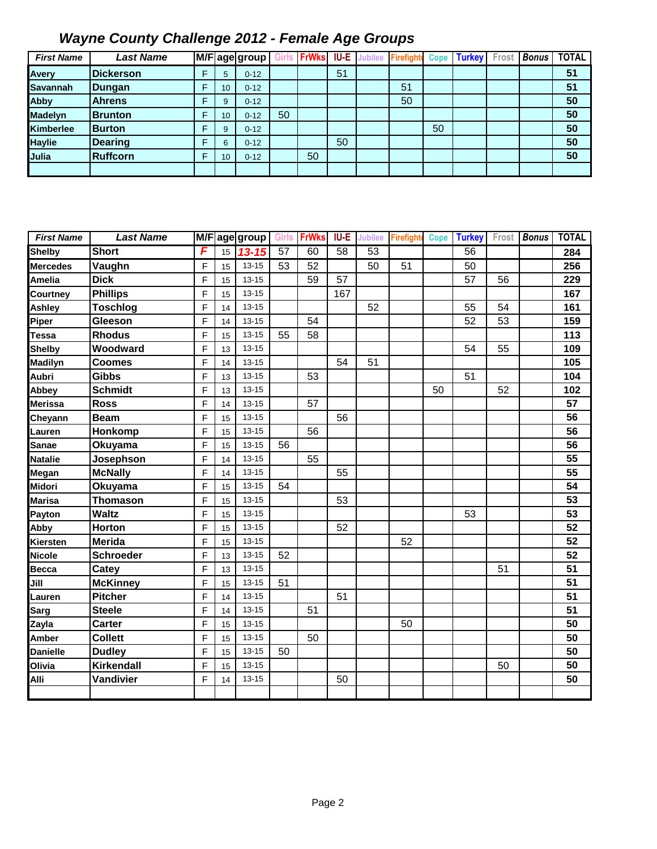| <b>First Name</b> | <b>Last Name</b> |   |                 | M/F age group! | Girls | <b>FrWks</b> |    | <b>IU-E</b> Jubilee | Firefight | <b>Cope</b> | <b>Turkey</b> | Fros | <b>Bonus</b> | <b>TOTAL</b> |
|-------------------|------------------|---|-----------------|----------------|-------|--------------|----|---------------------|-----------|-------------|---------------|------|--------------|--------------|
| Avery             | <b>Dickerson</b> |   | 5               | $0 - 12$       |       |              | 51 |                     |           |             |               |      |              | 51           |
| <b>Savannah</b>   | Dungan           | F | 10              | $0 - 12$       |       |              |    |                     | 51        |             |               |      |              | 51           |
| <b>Abby</b>       | <b>Ahrens</b>    |   | 9               | $0 - 12$       |       |              |    |                     | 50        |             |               |      |              | 50           |
| <b>Madelyn</b>    | <b>Brunton</b>   |   | 10 <sup>1</sup> | $0 - 12$       | 50    |              |    |                     |           |             |               |      |              | 50           |
| <b>Kimberlee</b>  | <b>Burton</b>    |   | 9               | $0 - 12$       |       |              |    |                     |           | 50          |               |      |              | 50           |
| <b>Haylie</b>     | <b>Dearing</b>   |   | 6               | $0 - 12$       |       |              | 50 |                     |           |             |               |      |              | 50           |
| <b>Julia</b>      | <b>Ruffcorn</b>  |   | 10 <sup>°</sup> | $0 - 12$       |       | 50           |    |                     |           |             |               |      |              | 50           |
|                   |                  |   |                 |                |       |              |    |                     |           |             |               |      |              |              |

| <b>First Name</b> | <b>Last Name</b>  |   |    | M/F age group | <b>Girls</b> | <b>FrWks</b> | <b>IU-E</b>     | <b>Jubilee</b> | <b>Firefighte</b> | <b>Cope</b> | <b>Turkey</b>   | Frost | <b>Bonus</b> | <b>TOTAL</b> |
|-------------------|-------------------|---|----|---------------|--------------|--------------|-----------------|----------------|-------------------|-------------|-----------------|-------|--------------|--------------|
| <b>Shelby</b>     | <b>Short</b>      | F | 15 | $13 - 15$     | 57           | 60           | $\overline{58}$ | 53             |                   |             | $\overline{56}$ |       |              | 284          |
| <b>Mercedes</b>   | Vaughn            | F | 15 | $13 - 15$     | 53           | 52           |                 | 50             | 51                |             | 50              |       |              | 256          |
| Amelia            | <b>Dick</b>       | F | 15 | $13 - 15$     |              | 59           | 57              |                |                   |             | 57              | 56    |              | 229          |
| Courtney          | <b>Phillips</b>   | F | 15 | $13 - 15$     |              |              | 167             |                |                   |             |                 |       |              | 167          |
| Ashley            | <b>Toschlog</b>   | F | 14 | $13 - 15$     |              |              |                 | 52             |                   |             | 55              | 54    |              | 161          |
| Piper             | Gleeson           | F | 14 | $13 - 15$     |              | 54           |                 |                |                   |             | 52              | 53    |              | 159          |
| Tessa             | <b>Rhodus</b>     | F | 15 | $13 - 15$     | 55           | 58           |                 |                |                   |             |                 |       |              | 113          |
| <b>Shelby</b>     | Woodward          | F | 13 | $13 - 15$     |              |              |                 |                |                   |             | 54              | 55    |              | 109          |
| Madilyn           | <b>Coomes</b>     | F | 14 | $13 - 15$     |              |              | 54              | 51             |                   |             |                 |       |              | 105          |
| Aubri             | <b>Gibbs</b>      | F | 13 | $13 - 15$     |              | 53           |                 |                |                   |             | 51              |       |              | 104          |
| Abbey             | <b>Schmidt</b>    | F | 13 | $13 - 15$     |              |              |                 |                |                   | 50          |                 | 52    |              | 102          |
| Merissa           | <b>Ross</b>       | F | 14 | $13 - 15$     |              | 57           |                 |                |                   |             |                 |       |              | 57           |
| Cheyann           | <b>Beam</b>       | F | 15 | $13 - 15$     |              |              | 56              |                |                   |             |                 |       |              | 56           |
| Lauren            | Honkomp           | F | 15 | $13 - 15$     |              | 56           |                 |                |                   |             |                 |       |              | 56           |
| Sanae             | <b>Okuyama</b>    | F | 15 | $13 - 15$     | 56           |              |                 |                |                   |             |                 |       |              | 56           |
| <b>Natalie</b>    | Josephson         | F | 14 | $13 - 15$     |              | 55           |                 |                |                   |             |                 |       |              | 55           |
| Megan             | <b>McNally</b>    | F | 14 | $13 - 15$     |              |              | 55              |                |                   |             |                 |       |              | 55           |
| Midori            | <b>Okuyama</b>    | F | 15 | $13 - 15$     | 54           |              |                 |                |                   |             |                 |       |              | 54           |
| Marisa            | <b>Thomason</b>   | F | 15 | $13 - 15$     |              |              | 53              |                |                   |             |                 |       |              | 53           |
| Payton            | <b>Waltz</b>      | F | 15 | $13 - 15$     |              |              |                 |                |                   |             | 53              |       |              | 53           |
| Abby              | Horton            | F | 15 | $13 - 15$     |              |              | 52              |                |                   |             |                 |       |              | 52           |
| Kiersten          | <b>Merida</b>     | F | 15 | $13 - 15$     |              |              |                 |                | 52                |             |                 |       |              | 52           |
| <b>Nicole</b>     | Schroeder         | F | 13 | $13 - 15$     | 52           |              |                 |                |                   |             |                 |       |              | 52           |
| <b>Becca</b>      | Catey             | F | 13 | $13 - 15$     |              |              |                 |                |                   |             |                 | 51    |              | 51           |
| Jill              | <b>McKinney</b>   | F | 15 | $13 - 15$     | 51           |              |                 |                |                   |             |                 |       |              | 51           |
| Lauren            | Pitcher           | F | 14 | $13 - 15$     |              |              | 51              |                |                   |             |                 |       |              | 51           |
| <b>Sarg</b>       | <b>Steele</b>     | F | 14 | $13 - 15$     |              | 51           |                 |                |                   |             |                 |       |              | 51           |
| Zayla             | <b>Carter</b>     | F | 15 | $13 - 15$     |              |              |                 |                | 50                |             |                 |       |              | 50           |
| Amber             | <b>Collett</b>    | F | 15 | $13 - 15$     |              | 50           |                 |                |                   |             |                 |       |              | 50           |
| <b>Danielle</b>   | <b>Dudley</b>     | F | 15 | $13 - 15$     | 50           |              |                 |                |                   |             |                 |       |              | 50           |
| Olivia            | <b>Kirkendall</b> | F | 15 | $13 - 15$     |              |              |                 |                |                   |             |                 | 50    |              | 50           |
| Alli              | Vandivier         | F | 14 | $13 - 15$     |              |              | 50              |                |                   |             |                 |       |              | 50           |
|                   |                   |   |    |               |              |              |                 |                |                   |             |                 |       |              |              |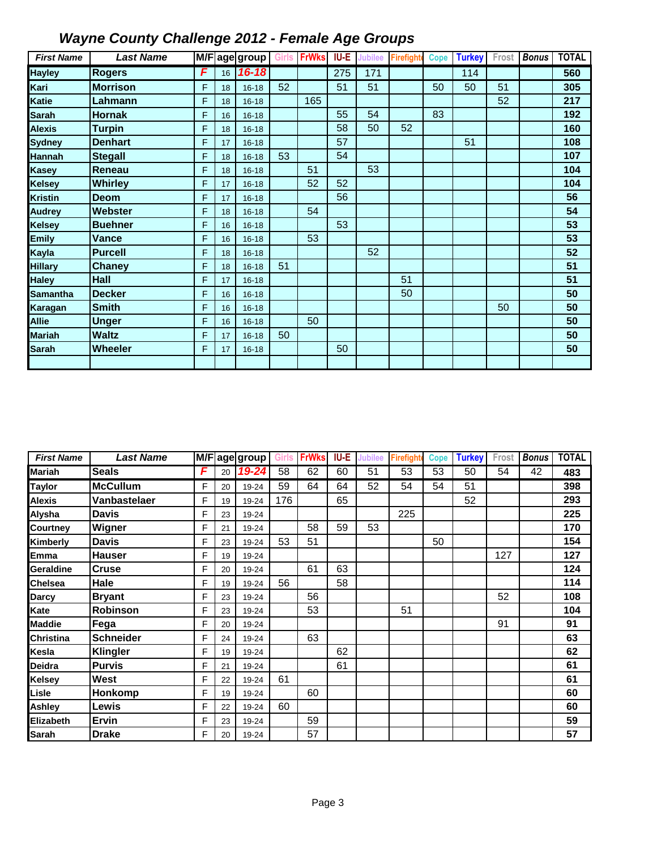| <b>First Name</b> | <b>Last Name</b> |   |    | M/Fage group | Girls | <b>FrWks</b> | IU-E | <b>Jubilee</b> | <b>Firefight</b> | <b>Cope</b> | <b>Turkey</b> | Frost | <b>Bonus</b> | <b>TOTAL</b> |
|-------------------|------------------|---|----|--------------|-------|--------------|------|----------------|------------------|-------------|---------------|-------|--------------|--------------|
| <b>Hayley</b>     | <b>Rogers</b>    | F | 16 | $16 - 18$    |       |              | 275  | 171            |                  |             | 114           |       |              | 560          |
| Kari              | <b>Morrison</b>  | F | 18 | $16 - 18$    | 52    |              | 51   | 51             |                  | 50          | 50            | 51    |              | 305          |
| <b>Katie</b>      | Lahmann          | F | 18 | $16 - 18$    |       | 165          |      |                |                  |             |               | 52    |              | 217          |
| <b>Sarah</b>      | <b>Hornak</b>    | F | 16 | $16 - 18$    |       |              | 55   | 54             |                  | 83          |               |       |              | 192          |
| <b>Alexis</b>     | <b>Turpin</b>    | F | 18 | $16 - 18$    |       |              | 58   | 50             | 52               |             |               |       |              | 160          |
| <b>Sydney</b>     | <b>Denhart</b>   | F | 17 | $16 - 18$    |       |              | 57   |                |                  |             | 51            |       |              | 108          |
| Hannah            | <b>Stegall</b>   | F | 18 | $16 - 18$    | 53    |              | 54   |                |                  |             |               |       |              | 107          |
| <b>Kasey</b>      | Reneau           | F | 18 | $16 - 18$    |       | 51           |      | 53             |                  |             |               |       |              | 104          |
| <b>Kelsey</b>     | <b>Whirley</b>   | F | 17 | $16 - 18$    |       | 52           | 52   |                |                  |             |               |       |              | 104          |
| <b>Kristin</b>    | <b>Deom</b>      | F | 17 | $16 - 18$    |       |              | 56   |                |                  |             |               |       |              | 56           |
| <b>Audrey</b>     | Webster          | F | 18 | $16 - 18$    |       | 54           |      |                |                  |             |               |       |              | 54           |
| <b>Kelsey</b>     | <b>Buehner</b>   | F | 16 | $16 - 18$    |       |              | 53   |                |                  |             |               |       |              | 53           |
| <b>Emily</b>      | Vance            | F | 16 | $16 - 18$    |       | 53           |      |                |                  |             |               |       |              | 53           |
| Kayla             | <b>Purcell</b>   | F | 18 | $16 - 18$    |       |              |      | 52             |                  |             |               |       |              | 52           |
| <b>Hillary</b>    | <b>Chaney</b>    | F | 18 | $16 - 18$    | 51    |              |      |                |                  |             |               |       |              | 51           |
| <b>Haley</b>      | <b>Hall</b>      | F | 17 | $16 - 18$    |       |              |      |                | 51               |             |               |       |              | 51           |
| <b>Samantha</b>   | <b>Decker</b>    | F | 16 | $16 - 18$    |       |              |      |                | 50               |             |               |       |              | 50           |
| Karagan           | <b>Smith</b>     | F | 16 | $16 - 18$    |       |              |      |                |                  |             |               | 50    |              | 50           |
| <b>Allie</b>      | <b>Unger</b>     | F | 16 | $16 - 18$    |       | 50           |      |                |                  |             |               |       |              | 50           |
| <b>Mariah</b>     | <b>Waltz</b>     | F | 17 | $16 - 18$    | 50    |              |      |                |                  |             |               |       |              | 50           |
| <b>Sarah</b>      | <b>Wheeler</b>   | F | 17 | $16 - 18$    |       |              | 50   |                |                  |             |               |       |              | 50           |
|                   |                  |   |    |              |       |              |      |                |                  |             |               |       |              |              |

| <b>First Name</b> | <b>Last Name</b> |   |    | M/Fage group | Girls | <b>FrWks</b> | <b>IU-E</b> | <b>Jubilee</b> | <b>Firefight</b> | Cope | <b>Turkey</b> | Frost | <b>Bonus</b> | <b>TOTAL</b> |
|-------------------|------------------|---|----|--------------|-------|--------------|-------------|----------------|------------------|------|---------------|-------|--------------|--------------|
| <b>Mariah</b>     | Seals            | F | 20 | $19 - 24$    | 58    | 62           | 60          | 51             | 53               | 53   | 50            | 54    | 42           | 483          |
| <b>Taylor</b>     | <b>McCullum</b>  | F | 20 | 19-24        | 59    | 64           | 64          | 52             | 54               | 54   | 51            |       |              | 398          |
| <b>Alexis</b>     | Vanbastelaer     | F | 19 | 19-24        | 176   |              | 65          |                |                  |      | 52            |       |              | 293          |
| Alysha            | <b>Davis</b>     | F | 23 | 19-24        |       |              |             |                | 225              |      |               |       |              | 225          |
| Courtney          | Wigner           | F | 21 | 19-24        |       | 58           | 59          | 53             |                  |      |               |       |              | 170          |
| Kimberly          | <b>Davis</b>     | F | 23 | 19-24        | 53    | 51           |             |                |                  | 50   |               |       |              | 154          |
| Emma              | <b>Hauser</b>    | F | 19 | 19-24        |       |              |             |                |                  |      |               | 127   |              | 127          |
| Geraldine         | <b>Cruse</b>     | F | 20 | 19-24        |       | 61           | 63          |                |                  |      |               |       |              | 124          |
| <b>Chelsea</b>    | Hale             | F | 19 | 19-24        | 56    |              | 58          |                |                  |      |               |       |              | 114          |
| Darcy             | <b>Bryant</b>    | F | 23 | 19-24        |       | 56           |             |                |                  |      |               | 52    |              | 108          |
| Kate              | Robinson         | F | 23 | 19-24        |       | 53           |             |                | 51               |      |               |       |              | 104          |
| <b>Maddie</b>     | Fega             | F | 20 | 19-24        |       |              |             |                |                  |      |               | 91    |              | 91           |
| <b>Christina</b>  | <b>Schneider</b> | F | 24 | 19-24        |       | 63           |             |                |                  |      |               |       |              | 63           |
| Kesla             | <b>Klingler</b>  | F | 19 | 19-24        |       |              | 62          |                |                  |      |               |       |              | 62           |
| Deidra            | <b>Purvis</b>    | F | 21 | 19-24        |       |              | 61          |                |                  |      |               |       |              | 61           |
| Kelsey            | <b>West</b>      | F | 22 | 19-24        | 61    |              |             |                |                  |      |               |       |              | 61           |
| Lisle             | Honkomp          | F | 19 | 19-24        |       | 60           |             |                |                  |      |               |       |              | 60           |
| Ashley            | Lewis            | F | 22 | 19-24        | 60    |              |             |                |                  |      |               |       |              | 60           |
| Elizabeth         | <b>Ervin</b>     | F | 23 | 19-24        |       | 59           |             |                |                  |      |               |       |              | 59           |
| Sarah             | <b>Drake</b>     | F | 20 | 19-24        |       | 57           |             |                |                  |      |               |       |              | 57           |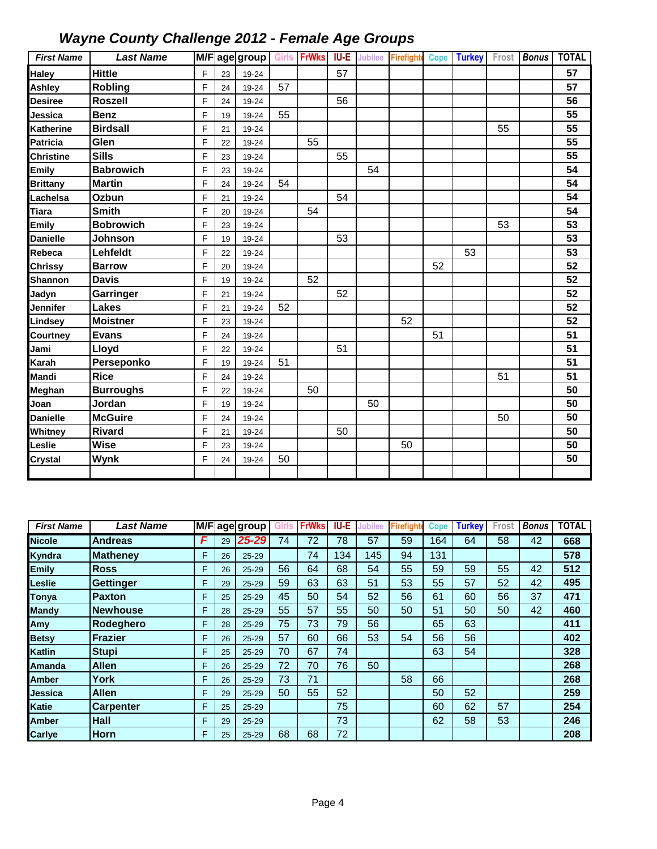| <b>First Name</b> | <b>Last Name</b> |   |    | M/F age group |    | Girls FrWks | <b>IU-E</b> | <b>Jubilee</b> | Firefight | Cope | <b>Turkey</b> | Frost | Bonus | <b>TOTAL</b>    |
|-------------------|------------------|---|----|---------------|----|-------------|-------------|----------------|-----------|------|---------------|-------|-------|-----------------|
| <b>Haley</b>      | <b>Hittle</b>    | F | 23 | 19-24         |    |             | 57          |                |           |      |               |       |       | 57              |
| Ashley            | <b>Robling</b>   | F | 24 | 19-24         | 57 |             |             |                |           |      |               |       |       | 57              |
| Desiree           | <b>Roszell</b>   | F | 24 | 19-24         |    |             | 56          |                |           |      |               |       |       | 56              |
| Jessica           | <b>Benz</b>      | F | 19 | 19-24         | 55 |             |             |                |           |      |               |       |       | 55              |
| Katherine         | <b>Birdsall</b>  | F | 21 | 19-24         |    |             |             |                |           |      |               | 55    |       | 55              |
| Patricia          | Glen             | F | 22 | 19-24         |    | 55          |             |                |           |      |               |       |       | 55              |
| <b>Christine</b>  | <b>Sills</b>     | F | 23 | 19-24         |    |             | 55          |                |           |      |               |       |       | 55              |
| <b>Emily</b>      | <b>Babrowich</b> | F | 23 | 19-24         |    |             |             | 54             |           |      |               |       |       | 54              |
| <b>Brittany</b>   | <b>Martin</b>    | F | 24 | 19-24         | 54 |             |             |                |           |      |               |       |       | 54              |
| Lachelsa          | Ozbun            | F | 21 | 19-24         |    |             | 54          |                |           |      |               |       |       | 54              |
| Tiara             | <b>Smith</b>     | F | 20 | 19-24         |    | 54          |             |                |           |      |               |       |       | 54              |
| <b>Emily</b>      | <b>Bobrowich</b> | F | 23 | 19-24         |    |             |             |                |           |      |               | 53    |       | 53              |
| <b>Danielle</b>   | Johnson          | F | 19 | 19-24         |    |             | 53          |                |           |      |               |       |       | 53              |
| Rebeca            | Lehfeldt         | F | 22 | 19-24         |    |             |             |                |           |      | 53            |       |       | 53              |
| Chrissy           | <b>Barrow</b>    | F | 20 | 19-24         |    |             |             |                |           | 52   |               |       |       | 52              |
| <b>Shannon</b>    | <b>Davis</b>     | F | 19 | 19-24         |    | 52          |             |                |           |      |               |       |       | 52              |
| Jadyn             | Garringer        | F | 21 | 19-24         |    |             | 52          |                |           |      |               |       |       | 52              |
| Jennifer          | <b>Lakes</b>     | F | 21 | 19-24         | 52 |             |             |                |           |      |               |       |       | 52              |
| Lindsey           | <b>Moistner</b>  | F | 23 | 19-24         |    |             |             |                | 52        |      |               |       |       | 52              |
| Courtney          | Evans            | F | 24 | 19-24         |    |             |             |                |           | 51   |               |       |       | 51              |
| Jami              | Lloyd            | F | 22 | 19-24         |    |             | 51          |                |           |      |               |       |       | 51              |
| Karah             | Perseponko       | F | 19 | 19-24         | 51 |             |             |                |           |      |               |       |       | 51              |
| Mandi             | <b>Rice</b>      | F | 24 | 19-24         |    |             |             |                |           |      |               | 51    |       | $\overline{51}$ |
| Meghan            | <b>Burroughs</b> | F | 22 | 19-24         |    | 50          |             |                |           |      |               |       |       | 50              |
| Joan              | Jordan           | F | 19 | 19-24         |    |             |             | 50             |           |      |               |       |       | 50              |
| <b>Danielle</b>   | <b>McGuire</b>   | F | 24 | 19-24         |    |             |             |                |           |      |               | 50    |       | 50              |
| Whitney           | <b>Rivard</b>    | F | 21 | 19-24         |    |             | 50          |                |           |      |               |       |       | 50              |
| Leslie            | <b>Wise</b>      | F | 23 | 19-24         |    |             |             |                | 50        |      |               |       |       | 50              |
| <b>Crystal</b>    | Wynk             | F | 24 | 19-24         | 50 |             |             |                |           |      |               |       |       | 50              |
|                   |                  |   |    |               |    |             |             |                |           |      |               |       |       |                 |

| <b>First Name</b> | Last Name        |   |    | M/Fage group | Girls | <b>FrWks</b> | <b>IU-E</b> | lubilee | <b>Firefigh</b> | <b>Cope</b> | <b>Turkey</b> | Frost | <b>Bonus</b> | <b>TOTAL</b> |
|-------------------|------------------|---|----|--------------|-------|--------------|-------------|---------|-----------------|-------------|---------------|-------|--------------|--------------|
| <b>Nicole</b>     | <b>Andreas</b>   | F | 29 | 25-29        | 74    | 72           | 78          | 57      | 59              | 164         | 64            | 58    | 42           | 668          |
| Kyndra            | <b>Matheney</b>  | F | 26 | $25 - 29$    |       | 74           | 134         | 145     | 94              | 131         |               |       |              | 578          |
| <b>Emily</b>      | <b>Ross</b>      | F | 26 | $25 - 29$    | 56    | 64           | 68          | 54      | 55              | 59          | 59            | 55    | 42           | 512          |
| ∟eslie            | <b>Gettinger</b> | F | 29 | $25 - 29$    | 59    | 63           | 63          | 51      | 53              | 55          | 57            | 52    | 42           | 495          |
| <b>Tonya</b>      | <b>Paxton</b>    | F | 25 | $25 - 29$    | 45    | 50           | 54          | 52      | 56              | 61          | 60            | 56    | 37           | 471          |
| <b>Mandy</b>      | <b>Newhouse</b>  | F | 28 | $25 - 29$    | 55    | 57           | 55          | 50      | 50              | 51          | 50            | 50    | 42           | 460          |
| Amy               | Rodeghero        | F | 28 | $25 - 29$    | 75    | 73           | 79          | 56      |                 | 65          | 63            |       |              | 411          |
| <b>Betsy</b>      | <b>Frazier</b>   | F | 26 | $25 - 29$    | 57    | 60           | 66          | 53      | 54              | 56          | 56            |       |              | 402          |
| Katlin            | <b>Stupi</b>     | F | 25 | $25 - 29$    | 70    | 67           | 74          |         |                 | 63          | 54            |       |              | 328          |
| Amanda            | <b>Allen</b>     | F | 26 | 25-29        | 72    | 70           | 76          | 50      |                 |             |               |       |              | 268          |
| <b>Amber</b>      | <b>York</b>      | F | 26 | $25 - 29$    | 73    | 71           |             |         | 58              | 66          |               |       |              | 268          |
| Jessica           | <b>Allen</b>     | F | 29 | $25 - 29$    | 50    | 55           | 52          |         |                 | 50          | 52            |       |              | 259          |
| <b>Katie</b>      | <b>Carpenter</b> | F | 25 | $25 - 29$    |       |              | 75          |         |                 | 60          | 62            | 57    |              | 254          |
| Amber             | <b>Hall</b>      | F | 29 | $25 - 29$    |       |              | 73          |         |                 | 62          | 58            | 53    |              | 246          |
| <b>Carlye</b>     | <b>Horn</b>      | F | 25 | $25 - 29$    | 68    | 68           | 72          |         |                 |             |               |       |              | 208          |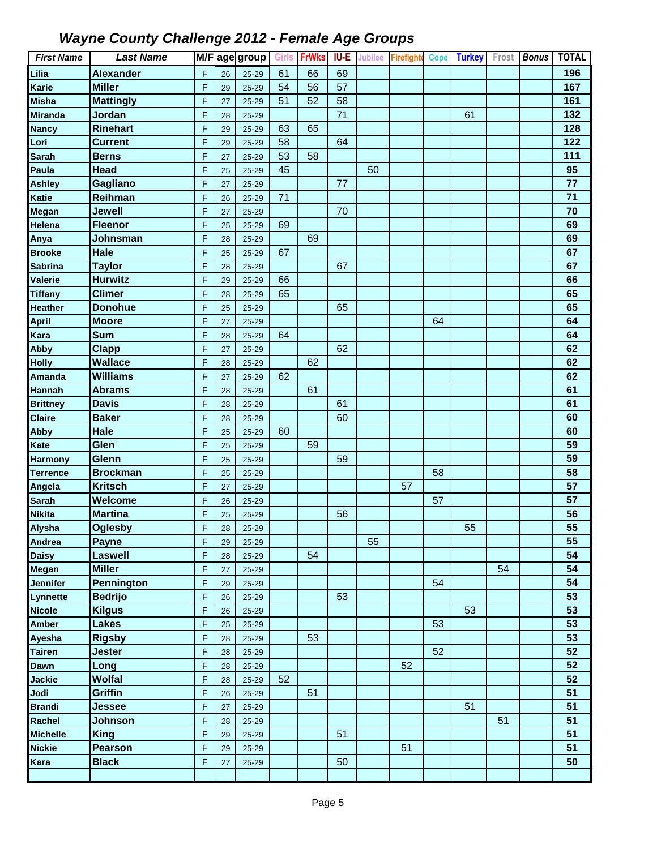| <b>First Name</b>            | <b>Last Name</b>               |        |          | M/Fage group   | <b>Girls</b> | <b>FrWks</b> | IU-E | <b>Jubilee</b> | <b>Firefighte</b> | <b>Cope</b> | <b>Turkey</b> | Frost | <b>Bonus</b> | <b>TOTAL</b>    |
|------------------------------|--------------------------------|--------|----------|----------------|--------------|--------------|------|----------------|-------------------|-------------|---------------|-------|--------------|-----------------|
| Lilia                        | <b>Alexander</b>               | F      | 26       | $25 - 29$      | 61           | 66           | 69   |                |                   |             |               |       |              | 196             |
| Karie                        | <b>Miller</b>                  | F      | 29       | $25 - 29$      | 54           | 56           | 57   |                |                   |             |               |       |              | 167             |
| Misha                        | <b>Mattingly</b>               | F      | 27       | 25-29          | 51           | 52           | 58   |                |                   |             |               |       |              | 161             |
| <b>Miranda</b>               | Jordan                         | F      | 28       | 25-29          |              |              | 71   |                |                   |             | 61            |       |              | 132             |
| <b>Nancy</b>                 | <b>Rinehart</b>                | F      | 29       | $25 - 29$      | 63           | 65           |      |                |                   |             |               |       |              | 128             |
| Lori                         | <b>Current</b>                 | F      | 29       | $25 - 29$      | 58           |              | 64   |                |                   |             |               |       |              | 122             |
| <b>Sarah</b>                 | <b>Berns</b>                   | F      | 27       | $25 - 29$      | 53           | 58           |      |                |                   |             |               |       |              | 111             |
| Paula                        | <b>Head</b>                    | F      | 25       | $25 - 29$      | 45           |              |      | 50             |                   |             |               |       |              | 95              |
| Ashley                       | Gagliano                       | F      | 27       | $25 - 29$      |              |              | 77   |                |                   |             |               |       |              | 77              |
| Katie                        | Reihman                        | F      | 26       | 25-29          | 71           |              |      |                |                   |             |               |       |              | $\overline{71}$ |
| Megan                        | Jewell                         | F      | 27       | 25-29          |              |              | 70   |                |                   |             |               |       |              | 70              |
| Helena                       | <b>Fleenor</b>                 | F      | 25       | 25-29          | 69           |              |      |                |                   |             |               |       |              | 69              |
| Anya                         | Johnsman                       | F      | 28       | 25-29          |              | 69           |      |                |                   |             |               |       |              | 69              |
| <b>Brooke</b>                | <b>Hale</b>                    | F      | 25       | $25 - 29$      | 67           |              |      |                |                   |             |               |       |              | 67              |
| <b>Sabrina</b>               | <b>Taylor</b>                  | F      | 28       | $25 - 29$      |              |              | 67   |                |                   |             |               |       |              | 67              |
| Valerie                      | <b>Hurwitz</b>                 | F      | 29       | 25-29          | 66           |              |      |                |                   |             |               |       |              | 66              |
| <b>Tiffany</b>               | <b>Climer</b>                  | F      | 28       | 25-29          | 65           |              |      |                |                   |             |               |       |              | 65              |
| <b>Heather</b>               | <b>Donohue</b>                 | F      | 25       | 25-29          |              |              | 65   |                |                   |             |               |       |              | 65              |
| April                        | <b>Moore</b>                   | F      | 27       | 25-29          |              |              |      |                |                   | 64          |               |       |              | 64              |
| Kara                         | <b>Sum</b>                     | F      | 28       | $25 - 29$      | 64           |              |      |                |                   |             |               |       |              | 64              |
| Abby                         | <b>Clapp</b>                   | F      | 27       | 25-29          |              |              | 62   |                |                   |             |               |       |              | 62              |
| <b>Holly</b>                 | <b>Wallace</b>                 | F      | 28       | $25 - 29$      |              | 62           |      |                |                   |             |               |       |              | 62              |
| <b>Amanda</b>                | <b>Williams</b>                | F      | 27       | 25-29          | 62           |              |      |                |                   |             |               |       |              | 62              |
| <b>Hannah</b>                | <b>Abrams</b>                  | F      | 28       | 25-29          |              | 61           |      |                |                   |             |               |       |              | 61              |
| <b>Brittney</b>              | <b>Davis</b>                   | F      | 28       | 25-29          |              |              | 61   |                |                   |             |               |       |              | 61              |
| <b>Claire</b>                | <b>Baker</b>                   | F      | 28       | 25-29          |              |              | 60   |                |                   |             |               |       |              | 60              |
| Abby                         | <b>Hale</b>                    | F      | 25       | $25 - 29$      | 60           |              |      |                |                   |             |               |       |              | 60              |
| Kate                         | Glen                           | F      | 25       | 25-29          |              | 59           |      |                |                   |             |               |       |              | 59              |
| <b>Harmony</b>               | Glenn                          | F      | 25       | 25-29          |              |              | 59   |                |                   |             |               |       |              | 59              |
| <b>Terrence</b>              | <b>Brockman</b>                | F      | 25       | 25-29          |              |              |      |                |                   | 58          |               |       |              | 58              |
| Angela                       | <b>Kritsch</b>                 | F      | 27       | 25-29          |              |              |      |                | 57                |             |               |       |              | 57              |
| <b>Sarah</b>                 | Welcome                        | F      | 26       | 25-29          |              |              |      |                |                   | 57          |               |       |              | 57              |
| <b>Nikita</b>                | <b>Martina</b>                 | F      | 25       | 25-29          |              |              | 56   |                |                   |             |               |       |              | 56              |
| Alysha                       | <b>Oglesby</b>                 | F      | 28       | $25 - 29$      |              |              |      |                |                   |             | 55            |       |              | 55              |
| Andrea                       | Payne                          | F      | 29       | 25-29          |              |              |      | 55             |                   |             |               |       |              | 55              |
| <b>Daisy</b>                 | <b>Laswell</b>                 | F      | 28       | $25 - 29$      |              | 54           |      |                |                   |             |               |       |              | 54              |
| Megan                        | <b>Miller</b>                  | F      | 27       | 25-29          |              |              |      |                |                   |             |               | 54    |              | 54              |
| Jennifer                     | Pennington                     | F      | 29       | 25-29          |              |              |      |                |                   | 54          |               |       |              | 54              |
| Lynnette                     | <b>Bedrijo</b>                 | F      | 26       | $25 - 29$      |              |              | 53   |                |                   |             |               |       |              | 53              |
| <b>Nicole</b>                | <b>Kilgus</b>                  | F      | 26       | 25-29          |              |              |      |                |                   |             | 53            |       |              | 53<br>53        |
| Amber                        | <b>Lakes</b>                   | F<br>F | 25       | 25-29          |              |              |      |                |                   | 53          |               |       |              | 53              |
| Ayesha                       | <b>Rigsby</b><br><b>Jester</b> | F      | 28       | 25-29          |              | 53           |      |                |                   | 52          |               |       |              | 52              |
| <b>Tairen</b><br><b>Dawn</b> | Long                           | F      | 28       | 25-29          |              |              |      |                | 52                |             |               |       |              | 52              |
|                              | <b>Wolfal</b>                  |        | 28       | 25-29          | 52           |              |      |                |                   |             |               |       |              | 52              |
| Jackie<br>Jodi               | <b>Griffin</b>                 | F<br>F | 28<br>26 | 25-29<br>25-29 |              | 51           |      |                |                   |             |               |       |              | 51              |
| <b>Brandi</b>                | Jessee                         | F      | 27       | 25-29          |              |              |      |                |                   |             | 51            |       |              | 51              |
| Rachel                       | <b>Johnson</b>                 | F      | 28       | 25-29          |              |              |      |                |                   |             |               | 51    |              | 51              |
| <b>Michelle</b>              | <b>King</b>                    | F      | 29       | 25-29          |              |              | 51   |                |                   |             |               |       |              | 51              |
| <b>Nickie</b>                | Pearson                        | F      | 29       | 25-29          |              |              |      |                | 51                |             |               |       |              | 51              |
| Kara                         | <b>Black</b>                   | F      | 27       | 25-29          |              |              | 50   |                |                   |             |               |       |              | 50              |
|                              |                                |        |          |                |              |              |      |                |                   |             |               |       |              |                 |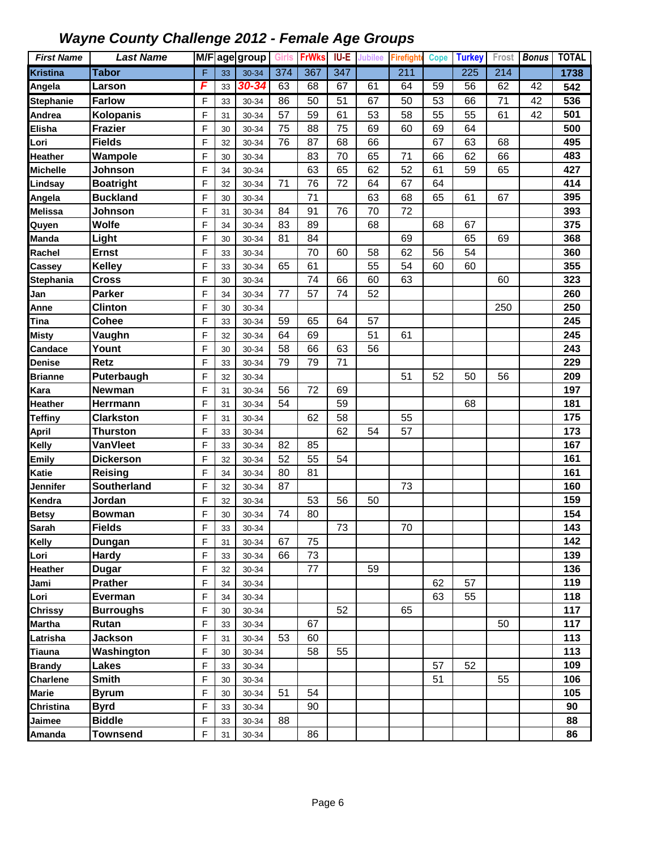| <b>First Name</b> | <b>Last Name</b>   |   |    | M/F age group | <b>Girls</b> | <b>FrWks</b> | IU-E             | <b>Jubilee</b> | <b>Firefight</b> | <b>Cope</b> | <b>Turkey</b>    | Frost | <b>Bonus</b> | <b>TOTAL</b> |
|-------------------|--------------------|---|----|---------------|--------------|--------------|------------------|----------------|------------------|-------------|------------------|-------|--------------|--------------|
| <b>Kristina</b>   | <b>Tabor</b>       | F | 33 | 30-34         | 374          | 367          | $\overline{347}$ |                | 211              |             | $\overline{225}$ | 214   |              | 1738         |
| Angela            | Larson             | F | 33 | 30-34         | 63           | 68           | 67               | 61             | 64               | 59          | 56               | 62    | 42           | 542          |
| <b>Stephanie</b>  | <b>Farlow</b>      | F | 33 | 30-34         | 86           | 50           | 51               | 67             | 50               | 53          | 66               | 71    | 42           | 536          |
| Andrea            | Kolopanis          | F | 31 | 30-34         | 57           | 59           | 61               | 53             | 58               | 55          | 55               | 61    | 42           | 501          |
| Elisha            | <b>Frazier</b>     | F | 30 | 30-34         | 75           | 88           | 75               | 69             | 60               | 69          | 64               |       |              | 500          |
| Lori              | <b>Fields</b>      | F | 32 | 30-34         | 76           | 87           | 68               | 66             |                  | 67          | 63               | 68    |              | 495          |
| Heather           | Wampole            | F | 30 | 30-34         |              | 83           | 70               | 65             | 71               | 66          | 62               | 66    |              | 483          |
| <b>Michelle</b>   | Johnson            | F | 34 | 30-34         |              | 63           | 65               | 62             | 52               | 61          | 59               | 65    |              | 427          |
| Lindsay           | <b>Boatright</b>   | F | 32 | 30-34         | 71           | 76           | 72               | 64             | 67               | 64          |                  |       |              | 414          |
| Angela            | <b>Buckland</b>    | F | 30 | 30-34         |              | 71           |                  | 63             | 68               | 65          | 61               | 67    |              | 395          |
| <b>Melissa</b>    | Johnson            | F | 31 | 30-34         | 84           | 91           | 76               | 70             | 72               |             |                  |       |              | 393          |
| Quyen             | Wolfe              | F | 34 | 30-34         | 83           | 89           |                  | 68             |                  | 68          | 67               |       |              | 375          |
| <b>Manda</b>      | Light              | F | 30 | 30-34         | 81           | 84           |                  |                | 69               |             | 65               | 69    |              | 368          |
| Rachel            | <b>Ernst</b>       | F | 33 | 30-34         |              | 70           | 60               | 58             | 62               | 56          | 54               |       |              | 360          |
| Cassey            | <b>Kelley</b>      | F | 33 | 30-34         | 65           | 61           |                  | 55             | 54               | 60          | 60               |       |              | 355          |
| Stephania         | <b>Cross</b>       | F | 30 | 30-34         |              | 74           | 66               | 60             | 63               |             |                  | 60    |              | 323          |
| Jan               | Parker             | F | 34 | 30-34         | 77           | 57           | 74               | 52             |                  |             |                  |       |              | 260          |
| Anne              | Clinton            | F | 30 | 30-34         |              |              |                  |                |                  |             |                  | 250   |              | 250          |
| Tina              | <b>Cohee</b>       | F | 33 | 30-34         | 59           | 65           | 64               | 57             |                  |             |                  |       |              | 245          |
| <b>Misty</b>      | Vaughn             | F | 32 | 30-34         | 64           | 69           |                  | 51             | 61               |             |                  |       |              | 245          |
| Candace           | Yount              | F | 30 | 30-34         | 58           | 66           | 63               | 56             |                  |             |                  |       |              | 243          |
| <b>Denise</b>     | <b>Retz</b>        | F | 33 | 30-34         | 79           | 79           | 71               |                |                  |             |                  |       |              | 229          |
| <b>Brianne</b>    | Puterbaugh         | F | 32 | 30-34         |              |              |                  |                | 51               | 52          | 50               | 56    |              | 209          |
| Kara              | Newman             | F | 31 | 30-34         | 56           | 72           | 69               |                |                  |             |                  |       |              | 197          |
| Heather           | Herrmann           | F | 31 | 30-34         | 54           |              | 59               |                |                  |             | 68               |       |              | 181          |
| <b>Teffiny</b>    | <b>Clarkston</b>   | F | 31 | 30-34         |              | 62           | 58               |                | 55               |             |                  |       |              | 175          |
| <b>April</b>      | <b>Thurston</b>    | F | 33 | 30-34         |              |              | 62               | 54             | 57               |             |                  |       |              | 173          |
| <b>Kelly</b>      | <b>VanVleet</b>    | F | 33 | 30-34         | 82           | 85           |                  |                |                  |             |                  |       |              | 167          |
| <b>Emily</b>      | <b>Dickerson</b>   | F | 32 | 30-34         | 52           | 55           | 54               |                |                  |             |                  |       |              | 161          |
| <b>Katie</b>      | Reising            | F | 34 | 30-34         | 80           | 81           |                  |                |                  |             |                  |       |              | 161          |
| Jennifer          | <b>Southerland</b> | F | 32 | 30-34         | 87           |              |                  |                | 73               |             |                  |       |              | 160          |
| Kendra            | Jordan             | F | 32 | 30-34         |              | 53           | 56               | 50             |                  |             |                  |       |              | 159          |
| <b>Betsy</b>      | <b>Bowman</b>      | F | 30 | 30-34         | 74           | 80           |                  |                |                  |             |                  |       |              | 154          |
| <b>Sarah</b>      | <b>Fields</b>      | F | 33 | 30-34         |              |              | 73               |                | $70\,$           |             |                  |       |              | 143          |
| <b>Kelly</b>      | Dungan             | F | 31 | 30-34         | 67           | 75           |                  |                |                  |             |                  |       |              | 142          |
| Lori              | <b>Hardy</b>       | F | 33 | 30-34         | 66           | 73           |                  |                |                  |             |                  |       |              | 139          |
| <b>Heather</b>    | Dugar              | F | 32 | 30-34         |              | 77           |                  | 59             |                  |             |                  |       |              | 136          |
| Jami              | <b>Prather</b>     | F | 34 | 30-34         |              |              |                  |                |                  | 62          | 57               |       |              | 119          |
| Lori              | Everman            | F | 34 | 30-34         |              |              |                  |                |                  | 63          | 55               |       |              | 118          |
| <b>Chrissy</b>    | <b>Burroughs</b>   | F | 30 | 30-34         |              |              | 52               |                | 65               |             |                  |       |              | 117          |
| <b>Martha</b>     | Rutan              | F | 33 | 30-34         |              | 67           |                  |                |                  |             |                  | 50    |              | 117          |
| Latrisha          | <b>Jackson</b>     | F | 31 | 30-34         | 53           | 60           |                  |                |                  |             |                  |       |              | 113          |
| <b>Tiauna</b>     | Washington         | F | 30 | 30-34         |              | 58           | 55               |                |                  |             |                  |       |              | 113          |
| <b>Brandy</b>     | Lakes              | F | 33 | 30-34         |              |              |                  |                |                  | 57          | 52               |       |              | 109          |
| <b>Charlene</b>   | <b>Smith</b>       | F | 30 | 30-34         |              |              |                  |                |                  | 51          |                  | 55    |              | 106          |
| Marie             | <b>Byrum</b>       | F | 30 | 30-34         | 51           | 54           |                  |                |                  |             |                  |       |              | 105          |
| Christina         | <b>Byrd</b>        | F | 33 | 30-34         |              | 90           |                  |                |                  |             |                  |       |              | 90           |
| Jaimee            | <b>Biddle</b>      | F | 33 | 30-34         | 88           |              |                  |                |                  |             |                  |       |              | 88           |
| <b>Amanda</b>     | <b>Townsend</b>    | F | 31 | 30-34         |              | 86           |                  |                |                  |             |                  |       |              | 86           |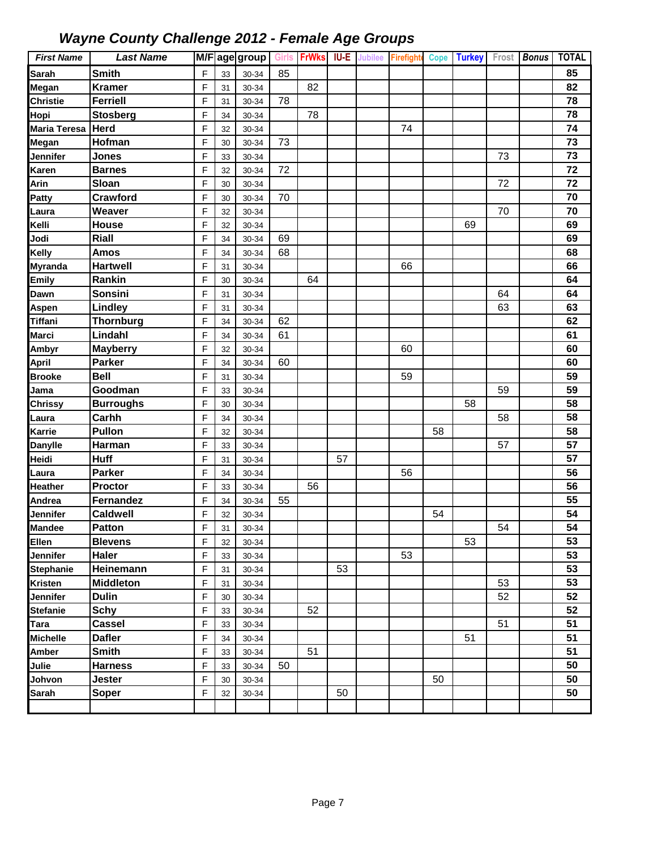| <b>First Name</b>               | <b>Last Name</b>         |        |          | M/F age group  | <b>Girls</b> | <b>FrWks</b> | IU-E | <b>Jubilee</b> | Firefighte |    | Cope Turkey |    | Frost Bonus | <b>TOTAL</b> |
|---------------------------------|--------------------------|--------|----------|----------------|--------------|--------------|------|----------------|------------|----|-------------|----|-------------|--------------|
| <b>Sarah</b>                    | <b>Smith</b>             | F      | 33       | 30-34          | 85           |              |      |                |            |    |             |    |             | 85           |
| Megan                           | <b>Kramer</b>            | F      | 31       | 30-34          |              | 82           |      |                |            |    |             |    |             | 82           |
| <b>Christie</b>                 | <b>Ferriell</b>          | F      | 31       | 30-34          | 78           |              |      |                |            |    |             |    |             | 78           |
| Hopi                            | <b>Stosberg</b>          | F      | 34       | 30-34          |              | 78           |      |                |            |    |             |    |             | 78           |
| Maria Teresa                    | <b>Herd</b>              | F      | 32       | 30-34          |              |              |      |                | 74         |    |             |    |             | 74           |
| Megan                           | Hofman                   | F      | 30       | 30-34          | 73           |              |      |                |            |    |             |    |             | 73           |
| Jennifer                        | <b>Jones</b>             | F      | 33       | 30-34          |              |              |      |                |            |    |             | 73 |             | 73           |
| Karen                           | <b>Barnes</b>            | F      | 32       | 30-34          | 72           |              |      |                |            |    |             |    |             | 72           |
| Arin                            | Sloan                    | F      | 30       | 30-34          |              |              |      |                |            |    |             | 72 |             | 72           |
| <b>Patty</b>                    | Crawford                 | F      | 30       | 30-34          | 70           |              |      |                |            |    |             |    |             | 70           |
| Laura                           | Weaver                   | F      | 32       | 30-34          |              |              |      |                |            |    |             | 70 |             | 70           |
| Kelli                           | House                    | F      | 32       | 30-34          |              |              |      |                |            |    | 69          |    |             | 69           |
| Jodi                            | Riall                    | F      | 34       | 30-34          | 69           |              |      |                |            |    |             |    |             | 69           |
| <b>Kelly</b>                    | <b>Amos</b>              | F      | 34       | 30-34          | 68           |              |      |                |            |    |             |    |             | 68           |
| <b>Myranda</b>                  | <b>Hartwell</b>          | F      | 31       | 30-34          |              |              |      |                | 66         |    |             |    |             | 66           |
| <b>Emily</b>                    | Rankin                   | F      | 30       | 30-34          |              | 64           |      |                |            |    |             |    |             | 64           |
| Dawn                            | <b>Sonsini</b>           | F      | 31       | 30-34          |              |              |      |                |            |    |             | 64 |             | 64           |
| <b>Aspen</b>                    | Lindley                  | F      | 31       | 30-34          |              |              |      |                |            |    |             | 63 |             | 63           |
| <b>Tiffani</b>                  | <b>Thornburg</b>         | F      | 34       | 30-34          | 62           |              |      |                |            |    |             |    |             | 62           |
| <b>Marci</b>                    | Lindahl                  | F      | 34       | 30-34          | 61           |              |      |                |            |    |             |    |             | 61           |
| <b>Ambyr</b>                    | <b>Mayberry</b>          | F      | 32       | 30-34          |              |              |      |                | 60         |    |             |    |             | 60           |
| <b>April</b>                    | <b>Parker</b>            | F      | 34       | 30-34          | 60           |              |      |                |            |    |             |    |             | 60           |
| <b>Brooke</b>                   | <b>Bell</b>              | F      | 31       | 30-34          |              |              |      |                | 59         |    |             |    |             | 59           |
| Jama                            | Goodman                  | F      | 33       | 30-34          |              |              |      |                |            |    |             | 59 |             | 59           |
| <b>Chrissy</b>                  | <b>Burroughs</b>         | F      | 30       | 30-34          |              |              |      |                |            |    | 58          |    |             | 58           |
| Laura                           | Carhh                    | F      | 34       | 30-34          |              |              |      |                |            |    |             | 58 |             | 58           |
| <b>Karrie</b>                   | Pullon                   | F      | 32       | 30-34          |              |              |      |                |            | 58 |             |    |             | 58           |
| <b>Danylle</b>                  | <b>Harman</b>            | F      | 33       | 30-34          |              |              |      |                |            |    |             | 57 |             | 57           |
| Heidi                           | <b>Huff</b>              | F      | 31       | 30-34          |              |              | 57   |                |            |    |             |    |             | 57<br>56     |
| Laura                           | <b>Parker</b><br>Proctor | F<br>F | 34       | 30-34          |              | 56           |      |                | 56         |    |             |    |             | 56           |
| <b>Heather</b><br><b>Andrea</b> | Fernandez                | F      | 33       | 30-34          | 55           |              |      |                |            |    |             |    |             | 55           |
| <b>Jennifer</b>                 | <b>Caldwell</b>          | F      | 34<br>32 | 30-34          |              |              |      |                |            | 54 |             |    |             | 54           |
| <b>Mandee</b>                   | Patton                   | F      | 31       | 30-34<br>30-34 |              |              |      |                |            |    |             | 54 |             | 54           |
| Ellen                           | <b>Blevens</b>           | F      | 32       | 30-34          |              |              |      |                |            |    | 53          |    |             | 53           |
| <b>Jennifer</b>                 | <b>Haler</b>             | F      | 33       | $30 - 34$      |              |              |      |                | 53         |    |             |    |             | 53           |
| <b>Stephanie</b>                | Heinemann                | F      | 31       | 30-34          |              |              | 53   |                |            |    |             |    |             | 53           |
| <b>Kristen</b>                  | <b>Middleton</b>         | F      | 31       | 30-34          |              |              |      |                |            |    |             | 53 |             | 53           |
| <b>Jennifer</b>                 | <b>Dulin</b>             | F      | 30       | $30 - 34$      |              |              |      |                |            |    |             | 52 |             | 52           |
| <b>Stefanie</b>                 | <b>Schy</b>              | F      | 33       | 30-34          |              | 52           |      |                |            |    |             |    |             | 52           |
| Tara                            | <b>Cassel</b>            | F      | 33       | 30-34          |              |              |      |                |            |    |             | 51 |             | 51           |
| <b>Michelle</b>                 | <b>Dafler</b>            | F      | 34       | 30-34          |              |              |      |                |            |    | 51          |    |             | 51           |
| Amber                           | <b>Smith</b>             | F      | 33       | 30-34          |              | 51           |      |                |            |    |             |    |             | 51           |
| Julie                           | <b>Harness</b>           | F      | 33       | 30-34          | 50           |              |      |                |            |    |             |    |             | 50           |
| Johvon                          | Jester                   | F      | 30       | 30-34          |              |              |      |                |            | 50 |             |    |             | 50           |
| <b>Sarah</b>                    | Soper                    | F      | 32       | 30-34          |              |              | 50   |                |            |    |             |    |             | 50           |
|                                 |                          |        |          |                |              |              |      |                |            |    |             |    |             |              |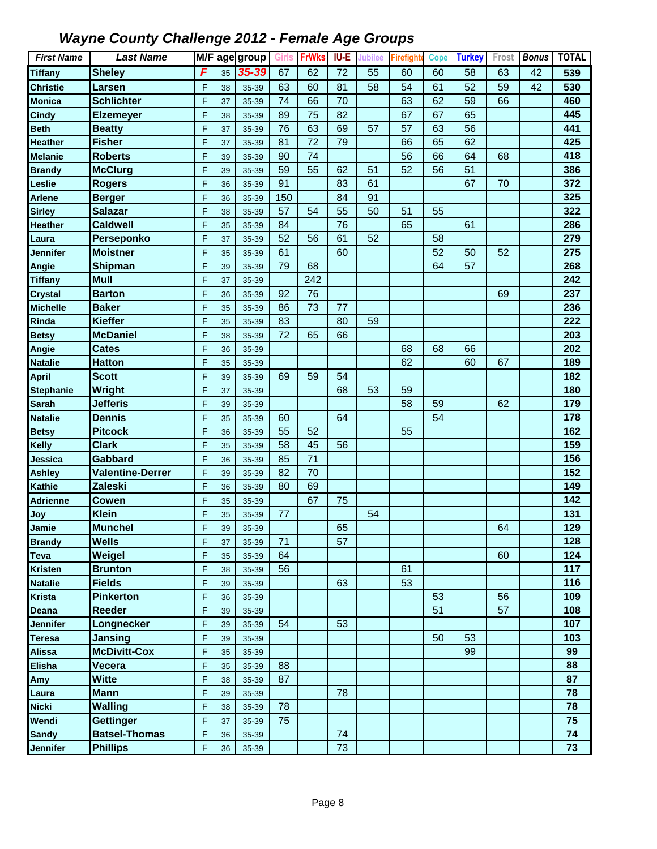| <b>First Name</b> | <b>Last Name</b>        |   |    | M/F age group | Girls | <b>FrWks</b> | IU-E            | Jubilee         | <b>Firefight</b> | <b>Cope</b> | <b>Turkey</b>   | Frost | <b>Bonus</b> | <b>TOTAL</b> |
|-------------------|-------------------------|---|----|---------------|-------|--------------|-----------------|-----------------|------------------|-------------|-----------------|-------|--------------|--------------|
| <b>Tiffany</b>    | <b>Sheley</b>           | F | 35 | 35-39         | 67    | 62           | $\overline{72}$ | $\overline{55}$ | 60               | 60          | $\overline{58}$ | 63    | 42           | 539          |
| <b>Christie</b>   | Larsen                  | F | 38 | 35-39         | 63    | 60           | 81              | 58              | 54               | 61          | 52              | 59    | 42           | 530          |
| Monica            | <b>Schlichter</b>       | F | 37 | 35-39         | 74    | 66           | 70              |                 | 63               | 62          | 59              | 66    |              | 460          |
| <b>Cindy</b>      | <b>Elzemeyer</b>        | F | 38 | 35-39         | 89    | 75           | 82              |                 | 67               | 67          | 65              |       |              | 445          |
| <b>Beth</b>       | <b>Beatty</b>           | F | 37 | 35-39         | 76    | 63           | 69              | 57              | 57               | 63          | 56              |       |              | 441          |
| <b>Heather</b>    | <b>Fisher</b>           | F | 37 | 35-39         | 81    | 72           | 79              |                 | 66               | 65          | 62              |       |              | 425          |
| <b>Melanie</b>    | <b>Roberts</b>          | F | 39 | 35-39         | 90    | 74           |                 |                 | 56               | 66          | 64              | 68    |              | 418          |
| <b>Brandy</b>     | <b>McClurg</b>          | F | 39 | 35-39         | 59    | 55           | 62              | 51              | 52               | 56          | 51              |       |              | 386          |
| Leslie            | <b>Rogers</b>           | F | 36 | 35-39         | 91    |              | 83              | 61              |                  |             | 67              | 70    |              | 372          |
| Arlene            | <b>Berger</b>           | F | 36 | 35-39         | 150   |              | 84              | 91              |                  |             |                 |       |              | 325          |
| <b>Sirley</b>     | <b>Salazar</b>          | F | 38 | 35-39         | 57    | 54           | 55              | 50              | 51               | 55          |                 |       |              | 322          |
| Heather           | <b>Caldwell</b>         | F | 35 | 35-39         | 84    |              | 76              |                 | 65               |             | 61              |       |              | 286          |
| Laura             | Perseponko              | F | 37 | 35-39         | 52    | 56           | 61              | 52              |                  | 58          |                 |       |              | 279          |
| Jennifer          | <b>Moistner</b>         | F | 35 | 35-39         | 61    |              | 60              |                 |                  | 52          | 50              | 52    |              | 275          |
| Angie             | <b>Shipman</b>          | F | 39 | 35-39         | 79    | 68           |                 |                 |                  | 64          | 57              |       |              | 268          |
| <b>Tiffany</b>    | <b>Mull</b>             | F | 37 | 35-39         |       | 242          |                 |                 |                  |             |                 |       |              | 242          |
| <b>Crystal</b>    | <b>Barton</b>           | F | 36 | 35-39         | 92    | 76           |                 |                 |                  |             |                 | 69    |              | 237          |
| <b>Michelle</b>   | <b>Baker</b>            | F | 35 | 35-39         | 86    | 73           | 77              |                 |                  |             |                 |       |              | 236          |
| Rinda             | <b>Kieffer</b>          | F | 35 | 35-39         | 83    |              | 80              | 59              |                  |             |                 |       |              | 222          |
| <b>Betsy</b>      | <b>McDaniel</b>         | F | 38 | 35-39         | 72    | 65           | 66              |                 |                  |             |                 |       |              | 203          |
| Angie             | <b>Cates</b>            | F | 36 | 35-39         |       |              |                 |                 | 68               | 68          | 66              |       |              | 202          |
| <b>Natalie</b>    | <b>Hatton</b>           | F | 35 | 35-39         |       |              |                 |                 | 62               |             | 60              | 67    |              | 189          |
| <b>April</b>      | <b>Scott</b>            | F | 39 | 35-39         | 69    | 59           | 54              |                 |                  |             |                 |       |              | 182          |
| <b>Stephanie</b>  | <b>Wright</b>           | F | 37 | 35-39         |       |              | 68              | 53              | 59               |             |                 |       |              | 180          |
| <b>Sarah</b>      | Jefferis                | F | 39 | 35-39         |       |              |                 |                 | 58               | 59          |                 | 62    |              | 179          |
| <b>Natalie</b>    | <b>Dennis</b>           | F | 35 | 35-39         | 60    |              | 64              |                 |                  | 54          |                 |       |              | 178          |
| <b>Betsy</b>      | <b>Pitcock</b>          | F | 36 | 35-39         | 55    | 52           |                 |                 | 55               |             |                 |       |              | 162          |
| Kelly             | <b>Clark</b>            | F | 35 | 35-39         | 58    | 45           | 56              |                 |                  |             |                 |       |              | 159          |
| Jessica           | Gabbard                 | F | 36 | 35-39         | 85    | 71           |                 |                 |                  |             |                 |       |              | 156          |
| <b>Ashley</b>     | <b>Valentine-Derrer</b> | F | 39 | 35-39         | 82    | 70           |                 |                 |                  |             |                 |       |              | 152          |
| Kathie            | Zaleski                 | F | 36 | 35-39         | 80    | 69           |                 |                 |                  |             |                 |       |              | 149          |
| <b>Adrienne</b>   | Cowen                   | F | 35 | 35-39         |       | 67           | 75              |                 |                  |             |                 |       |              | 142          |
| Joy               | <b>Klein</b>            | F | 35 | 35-39         | 77    |              |                 | 54              |                  |             |                 |       |              | 131          |
| Jamie             | <b>Munchel</b>          | F | 39 | 35-39         |       |              | 65              |                 |                  |             |                 | 64    |              | 129          |
| <b>Brandy</b>     | <b>Wells</b>            | F | 37 | 35-39         | 71    |              | 57              |                 |                  |             |                 |       |              | 128          |
| Teva              | Weigel                  | F | 35 | 35-39         | 64    |              |                 |                 |                  |             |                 | 60    |              | 124          |
| <b>Kristen</b>    | <b>Brunton</b>          | F | 38 | 35-39         | 56    |              |                 |                 | 61               |             |                 |       |              | 117          |
| Natalie           | <b>Fields</b>           | F | 39 | 35-39         |       |              | 63              |                 | 53               |             |                 |       |              | 116          |
| <b>Krista</b>     | <b>Pinkerton</b>        | F | 36 | 35-39         |       |              |                 |                 |                  | 53          |                 | 56    |              | 109          |
| Deana             | <b>Reeder</b>           | F | 39 | 35-39         |       |              |                 |                 |                  | 51          |                 | 57    |              | 108          |
| Jennifer          | Longnecker              | F | 39 | 35-39         | 54    |              | 53              |                 |                  |             |                 |       |              | 107          |
| Teresa            | Jansing                 | F | 39 | 35-39         |       |              |                 |                 |                  | 50          | 53              |       |              | 103          |
| Alissa            | <b>McDivitt-Cox</b>     | F | 35 | 35-39         |       |              |                 |                 |                  |             | 99              |       |              | 99           |
| <b>Elisha</b>     | Vecera                  | F | 35 | 35-39         | 88    |              |                 |                 |                  |             |                 |       |              | 88           |
| Amy               | <b>Witte</b>            | F | 38 | 35-39         | 87    |              |                 |                 |                  |             |                 |       |              | 87           |
| Laura             | <b>Mann</b>             | F | 39 | 35-39         |       |              | 78              |                 |                  |             |                 |       |              | 78           |
| <b>Nicki</b>      | <b>Walling</b>          | F | 38 | 35-39         | 78    |              |                 |                 |                  |             |                 |       |              | 78           |
| Wendi             | <b>Gettinger</b>        | F | 37 | 35-39         | 75    |              |                 |                 |                  |             |                 |       |              | 75           |
| <b>Sandy</b>      | <b>Batsel-Thomas</b>    | F | 36 | 35-39         |       |              | 74              |                 |                  |             |                 |       |              | 74           |
| Jennifer          | <b>Phillips</b>         | F | 36 | 35-39         |       |              | 73              |                 |                  |             |                 |       |              | 73           |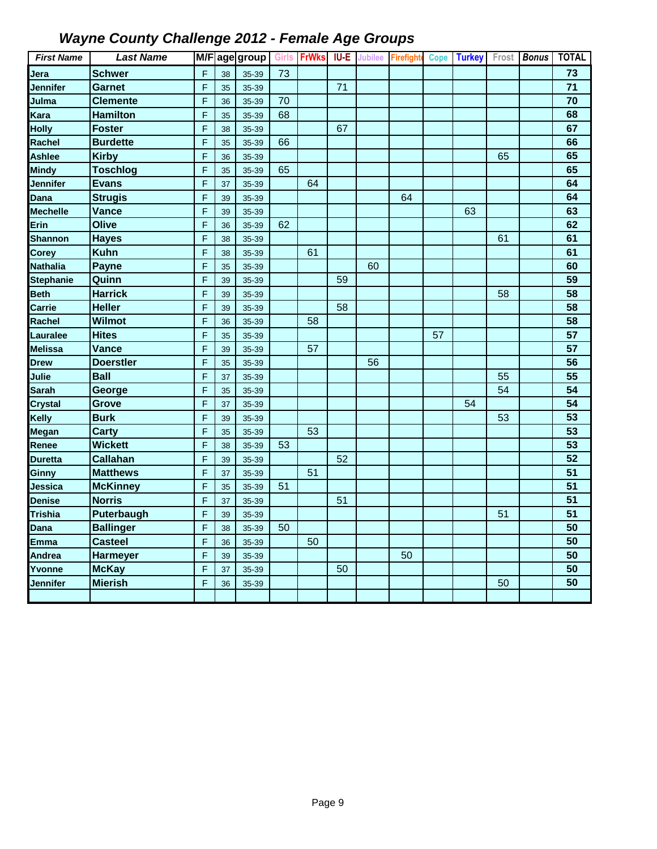| <b>First Name</b> | <b>Last Name</b> |                |    | M/F age group | Girls | <b>FrWks</b> | <b>IU-E</b> | <b>Jubilee</b> | <b>Firefighte</b> | <b>Cope</b> | <b>Turkey</b> | Frost | <b>Bonus</b> | <b>TOTAL</b>    |
|-------------------|------------------|----------------|----|---------------|-------|--------------|-------------|----------------|-------------------|-------------|---------------|-------|--------------|-----------------|
| Jera              | <b>Schwer</b>    | $\mathsf F$    | 38 | 35-39         | 73    |              |             |                |                   |             |               |       |              | 73              |
| Jennifer          | Garnet           | F              | 35 | 35-39         |       |              | 71          |                |                   |             |               |       |              | 71              |
| Julma             | <b>Clemente</b>  | F              | 36 | 35-39         | 70    |              |             |                |                   |             |               |       |              | 70              |
| Kara              | <b>Hamilton</b>  | F              | 35 | 35-39         | 68    |              |             |                |                   |             |               |       |              | 68              |
| <b>Holly</b>      | <b>Foster</b>    | F              | 38 | 35-39         |       |              | 67          |                |                   |             |               |       |              | 67              |
| Rachel            | <b>Burdette</b>  | F              | 35 | 35-39         | 66    |              |             |                |                   |             |               |       |              | 66              |
| Ashlee            | <b>Kirby</b>     | F              | 36 | 35-39         |       |              |             |                |                   |             |               | 65    |              | 65              |
| <b>Mindy</b>      | <b>Toschlog</b>  | $\mathsf F$    | 35 | 35-39         | 65    |              |             |                |                   |             |               |       |              | 65              |
| Jennifer          | <b>Evans</b>     | F              | 37 | 35-39         |       | 64           |             |                |                   |             |               |       |              | 64              |
| Dana              | <b>Strugis</b>   | F              | 39 | 35-39         |       |              |             |                | 64                |             |               |       |              | 64              |
| Mechelle          | Vance            | F              | 39 | 35-39         |       |              |             |                |                   |             | 63            |       |              | 63              |
| Erin              | Olive            | $\mathsf F$    | 36 | 35-39         | 62    |              |             |                |                   |             |               |       |              | 62              |
| <b>Shannon</b>    | <b>Hayes</b>     | F              | 38 | 35-39         |       |              |             |                |                   |             |               | 61    |              | 61              |
| Corey             | <b>Kuhn</b>      | F              | 38 | 35-39         |       | 61           |             |                |                   |             |               |       |              | 61              |
| Nathalia          | <b>Payne</b>     | F              | 35 | 35-39         |       |              |             | 60             |                   |             |               |       |              | 60              |
| <b>Stephanie</b>  | Quinn            | F              | 39 | 35-39         |       |              | 59          |                |                   |             |               |       |              | 59              |
| <b>Beth</b>       | <b>Harrick</b>   | F              | 39 | 35-39         |       |              |             |                |                   |             |               | 58    |              | 58              |
| Carrie            | <b>Heller</b>    | F              | 39 | 35-39         |       |              | 58          |                |                   |             |               |       |              | 58              |
| Rachel            | <b>Wilmot</b>    | F              | 36 | 35-39         |       | 58           |             |                |                   |             |               |       |              | 58              |
| Lauralee          | <b>Hites</b>     | F              | 35 | 35-39         |       |              |             |                |                   | 57          |               |       |              | 57              |
| Melissa           | Vance            | F              | 39 | 35-39         |       | 57           |             |                |                   |             |               |       |              | 57              |
| Drew              | <b>Doerstler</b> | $\overline{F}$ | 35 | 35-39         |       |              |             | 56             |                   |             |               |       |              | 56              |
| Julie             | <b>Ball</b>      | F              | 37 | 35-39         |       |              |             |                |                   |             |               | 55    |              | 55              |
| Sarah             | George           | F              | 35 | 35-39         |       |              |             |                |                   |             |               | 54    |              | 54              |
| <b>Crystal</b>    | <b>Grove</b>     | F              | 37 | 35-39         |       |              |             |                |                   |             | 54            |       |              | $\overline{54}$ |
| Kelly             | <b>Burk</b>      | F              | 39 | 35-39         |       |              |             |                |                   |             |               | 53    |              | 53              |
| Megan             | <b>Carty</b>     | F              | 35 | 35-39         |       | 53           |             |                |                   |             |               |       |              | $\overline{53}$ |
| Renee             | <b>Wickett</b>   | F              | 38 | 35-39         | 53    |              |             |                |                   |             |               |       |              | 53              |
| <b>Duretta</b>    | <b>Callahan</b>  | F              | 39 | 35-39         |       |              | 52          |                |                   |             |               |       |              | 52              |
| Ginny             | <b>Matthews</b>  | F              | 37 | 35-39         |       | 51           |             |                |                   |             |               |       |              | 51              |
| Jessica           | <b>McKinney</b>  | F              | 35 | 35-39         | 51    |              |             |                |                   |             |               |       |              | 51              |
| Denise            | <b>Norris</b>    | F              | 37 | 35-39         |       |              | 51          |                |                   |             |               |       |              | $\overline{51}$ |
| <b>Trishia</b>    | Puterbaugh       | F              | 39 | 35-39         |       |              |             |                |                   |             |               | 51    |              | 51              |
| Dana              | <b>Ballinger</b> | F              | 38 | 35-39         | 50    |              |             |                |                   |             |               |       |              | $\overline{50}$ |
| Emma              | <b>Casteel</b>   | F              | 36 | 35-39         |       | 50           |             |                |                   |             |               |       |              | 50              |
| Andrea            | <b>Harmeyer</b>  | F              | 39 | 35-39         |       |              |             |                | 50                |             |               |       |              | 50              |
| Yvonne            | <b>McKay</b>     | F              | 37 | 35-39         |       |              | 50          |                |                   |             |               |       |              | 50              |
| Jennifer          | <b>Mierish</b>   | F              | 36 | 35-39         |       |              |             |                |                   |             |               | 50    |              | 50              |
|                   |                  |                |    |               |       |              |             |                |                   |             |               |       |              |                 |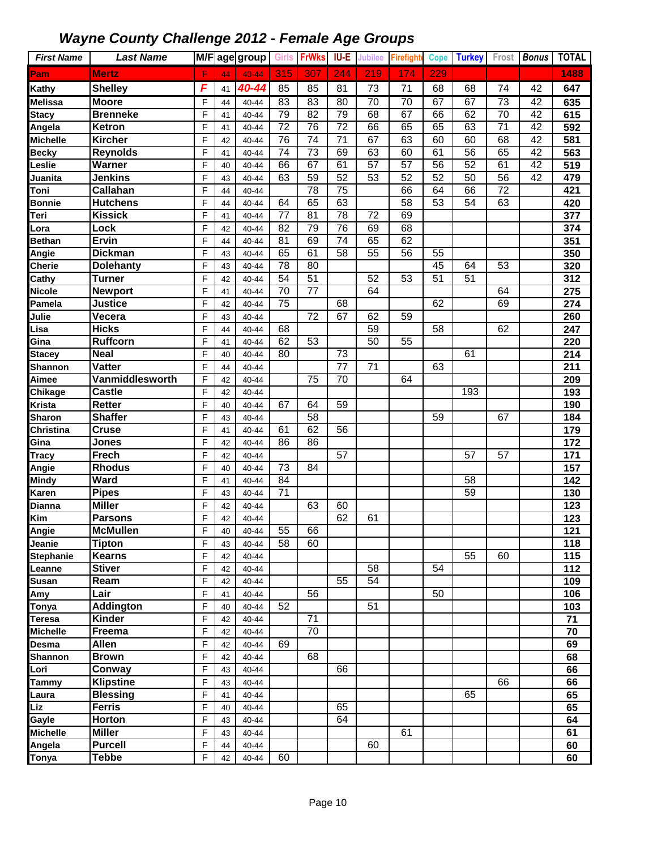| <b>First Name</b>    | <b>Last Name</b>              |                |          | M/F age group  | <b>Girls</b>          | <b>FrWks</b>    | <b>IU-E</b>     | Jubilee         | <b>Firefighte</b> | Cope            | <b>Turkey</b>   |                 | Frost Bonus     | <b>TOTAL</b>     |
|----------------------|-------------------------------|----------------|----------|----------------|-----------------------|-----------------|-----------------|-----------------|-------------------|-----------------|-----------------|-----------------|-----------------|------------------|
| Pam                  | <b>Mertz</b>                  | F              | 44       | $40 - 44$      | 315                   | 307             | 244             | 219             | 174               | 229             |                 |                 |                 | 1488             |
| <b>Kathy</b>         | <b>Shelley</b>                | F              | 41       | 40-44          | 85                    | 85              | 81              | 73              | 71                | 68              | 68              | 74              | 42              | 647              |
| <b>Melissa</b>       | <b>Moore</b>                  | F              | 44       | 40-44          | 83                    | 83              | 80              | 70              | 70                | 67              | 67              | 73              | 42              | 635              |
| <b>Stacy</b>         | <b>Brenneke</b>               | F              | 41       | $40 - 44$      | 79                    | 82              | 79              | 68              | 67                | 66              | 62              | $\overline{70}$ | 42              | 615              |
| Angela               | Ketron                        | F              | 41       | 40-44          | $\overline{72}$       | 76              | $\overline{72}$ | 66              | 65                | 65              | 63              | $\overline{71}$ | $\overline{42}$ | 592              |
| <b>Michelle</b>      | <b>Kircher</b>                | F              | 42       | 40-44          | 76                    | $\overline{74}$ | $\overline{71}$ | 67              | 63                | 60              | 60              | 68              | 42              | 581              |
| <b>Becky</b>         | <b>Reynolds</b>               | F              | 41       | 40-44          | 74                    | $\overline{73}$ | 69              | 63              | 60                | 61              | 56              | 65              | 42              | 563              |
| Leslie               | Warner                        | F              | 40       | 40-44          | 66                    | 67              | 61              | 57              | $\overline{57}$   | $\overline{56}$ | 52              | 61              | $\overline{42}$ | 519              |
| Juanita              | <b>Jenkins</b>                | F              | 43       | $40 - 44$      | 63                    | 59              | 52              | 53              | 52                | 52              | 50              | 56              | 42              | 479              |
| Toni                 | Callahan                      | F              | 44       | $40 - 44$      |                       | 78              | $\overline{75}$ |                 | 66                | 64              | 66              | 72              |                 | 421              |
| <b>Bonnie</b>        | <b>Hutchens</b>               | F              | 44       | 40-44          | 64                    | 65              | 63              |                 | $\overline{58}$   | $\overline{53}$ | $\overline{54}$ | 63              |                 | 420              |
| Teri                 | <b>Kissick</b>                | F              | 41       | 40-44          | 77                    | 81              | $\overline{78}$ | 72              | 69                |                 |                 |                 |                 | 377              |
| Lora                 | Lock                          | F              | 42       | 40-44          | 82                    | 79              | 76              | 69              | 68                |                 |                 |                 |                 | 374              |
| <b>Bethan</b>        | <b>Ervin</b>                  | F              | 44       | 40-44          | 81                    | 69              | 74              | 65              | 62                |                 |                 |                 |                 | 351              |
| Angie                | <b>Dickman</b>                | F              | 43       | $40 - 44$      | 65                    | 61              | 58              | 55              | 56                | 55              |                 |                 |                 | 350              |
| <b>Cherie</b>        | <b>Dolehanty</b>              | F              | 43       | 40-44          | 78                    | 80              |                 |                 |                   | 45              | 64              | 53              |                 | 320              |
| <b>Cathy</b>         | <b>Turner</b>                 | F              | 42       | 40-44          | $\overline{54}$       | $\overline{51}$ |                 | 52              | 53                | $\overline{51}$ | 51              |                 |                 | 312              |
| <b>Nicole</b>        | <b>Newport</b>                | F              | 41       | 40-44          | 70                    | 77              |                 | 64              |                   |                 |                 | 64              |                 | 275              |
| Pamela               | <b>Justice</b>                | F              | 42       | 40-44          | $\overline{75}$       |                 | 68              |                 |                   | 62              |                 | 69              |                 | 274              |
| Julie                | Vecera                        | F              | 43       | 40-44          |                       | 72              | 67              | 62              | 59                |                 |                 |                 |                 | 260              |
| Lisa                 | <b>Hicks</b>                  | F              | 44       | 40-44          | 68                    |                 |                 | 59              |                   | $\overline{58}$ |                 | 62              |                 | 247              |
| Gina                 | <b>Ruffcorn</b>               | F              | 41       | $40 - 44$      | 62                    | 53              |                 | $\overline{50}$ | 55                |                 |                 |                 |                 | 220              |
| <b>Stacey</b>        | <b>Neal</b>                   | F              | 40       | 40-44          | 80                    |                 | 73              |                 |                   |                 | 61              |                 |                 | 214              |
| <b>Shannon</b>       | Vatter                        | F              | 44       | 40-44          |                       |                 | $\overline{77}$ | 71              |                   | 63              |                 |                 |                 | 211              |
| Aimee                | Vanmiddlesworth               | F              | 42       | 40-44          |                       | $\overline{75}$ | $\overline{70}$ |                 | 64                |                 |                 |                 |                 | 209              |
| <b>Chikage</b>       | Castle                        | F              | 42       | 40-44          |                       |                 |                 |                 |                   |                 | 193             |                 |                 | 193              |
| <b>Krista</b>        | <b>Retter</b>                 | F              | 40       | 40-44          | 67                    | 64              | 59              |                 |                   |                 |                 |                 |                 | 190              |
| <b>Sharon</b>        | <b>Shaffer</b>                | F              | 43       | 40-44          |                       | 58              |                 |                 |                   | 59              |                 | 67              |                 | 184              |
| Christina            | <b>Cruse</b>                  | F              | 41       | 40-44          | 61                    | 62              | 56              |                 |                   |                 |                 |                 |                 | 179              |
| Gina                 | Jones                         | F              | 42       | 40-44          | 86                    | 86              |                 |                 |                   |                 |                 |                 |                 | 172              |
| <b>Tracy</b>         | <b>Frech</b>                  | F              | 42       | 40-44          |                       |                 | 57              |                 |                   |                 | 57              | 57              |                 | 171              |
| Angie                | <b>Rhodus</b>                 | F              | 40       | 40-44          | 73                    | 84              |                 |                 |                   |                 |                 |                 |                 | 157              |
| <b>Mindy</b>         | Ward                          | F              | 41       | 40-44          | $\overline{84}$<br>71 |                 |                 |                 |                   |                 | $\overline{58}$ |                 |                 | 142              |
| Karen                | <b>Pipes</b><br><b>Miller</b> | F              | 43       | 40-44          |                       | 63              |                 |                 |                   |                 | 59              |                 |                 | 130              |
| <b>Dianna</b><br>Kim | <b>Parsons</b>                | F<br>F         | 42<br>42 | 40-44<br>40-44 |                       |                 | 60<br>62        | 61              |                   |                 |                 |                 |                 | 123<br>123       |
| Angie                | <b>McMullen</b>               | $\overline{F}$ | 40       | 40-44          | 55                    | 66              |                 |                 |                   |                 |                 |                 |                 | $\overline{121}$ |
| Jeanie               | <b>Tipton</b>                 | F              | 43       | 40-44          | 58                    | 60              |                 |                 |                   |                 |                 |                 |                 | 118              |
| <b>Stephanie</b>     | <b>Kearns</b>                 | F              | 42       | $40 - 44$      |                       |                 |                 |                 |                   |                 | 55              | 60              |                 | 115              |
| Leanne               | <b>Stiver</b>                 | F              | 42       | 40-44          |                       |                 |                 | 58              |                   | 54              |                 |                 |                 | 112              |
| <b>Susan</b>         | Ream                          | F              | 42       | 40-44          |                       |                 | 55              | $\overline{54}$ |                   |                 |                 |                 |                 | 109              |
| Amy                  | Lair                          | F              | 41       | 40-44          |                       | 56              |                 |                 |                   | 50              |                 |                 |                 | 106              |
| Tonya                | <b>Addington</b>              | F              | 40       | 40-44          | 52                    |                 |                 | 51              |                   |                 |                 |                 |                 | 103              |
| <b>Teresa</b>        | Kinder                        | F              | 42       | 40-44          |                       | 71              |                 |                 |                   |                 |                 |                 |                 | 71               |
| <b>Michelle</b>      | Freema                        | F              | 42       | 40-44          |                       | 70              |                 |                 |                   |                 |                 |                 |                 | 70               |
| Desma                | <b>Allen</b>                  | F              | 42       | 40-44          | 69                    |                 |                 |                 |                   |                 |                 |                 |                 | 69               |
| <b>Shannon</b>       | <b>Brown</b>                  | F              | 42       | 40-44          |                       | 68              |                 |                 |                   |                 |                 |                 |                 | 68               |
| Lori                 | Conway                        | F              | 43       | 40-44          |                       |                 | 66              |                 |                   |                 |                 |                 |                 | 66               |
| <b>Tammy</b>         | <b>Klipstine</b>              | F              | 43       | $40 - 44$      |                       |                 |                 |                 |                   |                 |                 | 66              |                 | 66               |
| Laura                | <b>Blessing</b>               | F              | 41       | $40 - 44$      |                       |                 |                 |                 |                   |                 | 65              |                 |                 | 65               |
| Liz                  | <b>Ferris</b>                 | F              | 40       | 40-44          |                       |                 | 65              |                 |                   |                 |                 |                 |                 | 65               |
| Gayle                | Horton                        | F              | 43       | 40-44          |                       |                 | 64              |                 |                   |                 |                 |                 |                 | 64               |
| <b>Michelle</b>      | <b>Miller</b>                 | F              | 43       | 40-44          |                       |                 |                 |                 | 61                |                 |                 |                 |                 | 61               |
| Angela               | <b>Purcell</b>                | F              | 44       | 40-44          |                       |                 |                 | 60              |                   |                 |                 |                 |                 | 60               |
| <b>Tonya</b>         | <b>Tebbe</b>                  | F              | 42       | 40-44          | 60                    |                 |                 |                 |                   |                 |                 |                 |                 | 60               |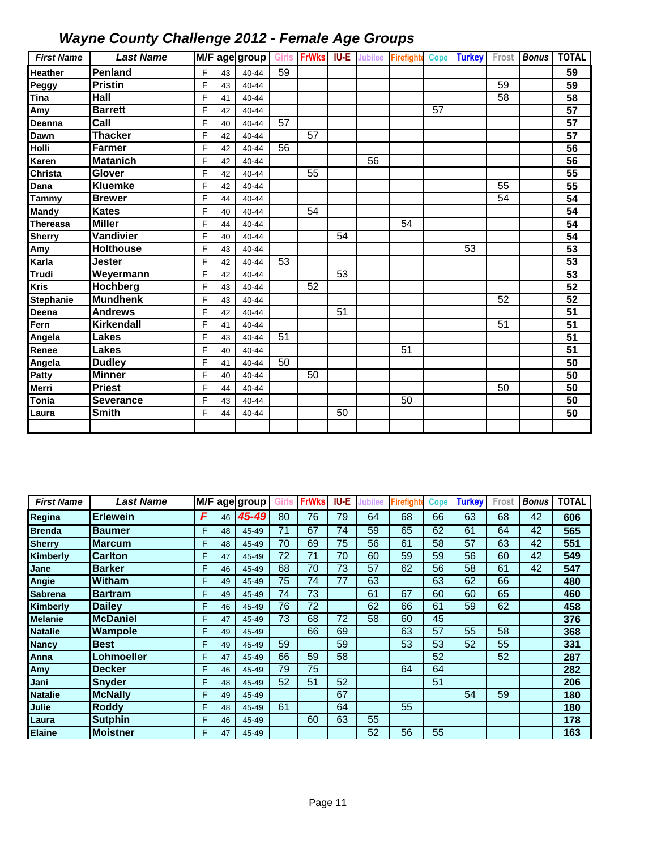| <b>First Name</b> | <b>Last Name</b> |   |    | M/F age group Girls FrWks IU-E Jubilee |    |    |    |    | Firefight Cope Turkey Frost |    |    |    | <b>Bonus</b> | <b>TOTAL</b>    |
|-------------------|------------------|---|----|----------------------------------------|----|----|----|----|-----------------------------|----|----|----|--------------|-----------------|
| <b>Heather</b>    | <b>Penland</b>   | F | 43 | $40 - 44$                              | 59 |    |    |    |                             |    |    |    |              | 59              |
| Peggy             | <b>Pristin</b>   | F | 43 | $40 - 44$                              |    |    |    |    |                             |    |    | 59 |              | 59              |
| Tina              | Hall             | F | 41 | $40 - 44$                              |    |    |    |    |                             |    |    | 58 |              | 58              |
| Amy               | <b>Barrett</b>   | F | 42 | $40 - 44$                              |    |    |    |    |                             | 57 |    |    |              | 57              |
| Deanna            | Call             | F | 40 | $40 - 44$                              | 57 |    |    |    |                             |    |    |    |              | 57              |
| Dawn              | <b>Thacker</b>   | F | 42 | $40 - 44$                              |    | 57 |    |    |                             |    |    |    |              | $\overline{57}$ |
| Holli             | <b>Farmer</b>    | F | 42 | $40 - 44$                              | 56 |    |    |    |                             |    |    |    |              | 56              |
| Karen             | <b>Matanich</b>  | F | 42 | $40 - 44$                              |    |    |    | 56 |                             |    |    |    |              | 56              |
| Christa           | Glover           | F | 42 | $40 - 44$                              |    | 55 |    |    |                             |    |    |    |              | 55              |
| Dana              | <b>Kluemke</b>   | F | 42 | 40-44                                  |    |    |    |    |                             |    |    | 55 |              | 55              |
| Tammy             | <b>Brewer</b>    | F | 44 | 40-44                                  |    |    |    |    |                             |    |    | 54 |              | $\overline{54}$ |
| <b>Mandy</b>      | <b>Kates</b>     | F | 40 | 40-44                                  |    | 54 |    |    |                             |    |    |    |              | 54              |
| <b>Thereasa</b>   | <b>Miller</b>    | F | 44 | $40 - 44$                              |    |    |    |    | 54                          |    |    |    |              | 54              |
| <b>Sherry</b>     | Vandivier        | F | 40 | 40-44                                  |    |    | 54 |    |                             |    |    |    |              | $\overline{54}$ |
| Amy               | <b>Holthouse</b> | F | 43 | $40 - 44$                              |    |    |    |    |                             |    | 53 |    |              | 53              |
| Karla             | <b>Jester</b>    | F | 42 | $40 - 44$                              | 53 |    |    |    |                             |    |    |    |              | 53              |
| Trudi             | Weyermann        | F | 42 | $40 - 44$                              |    |    | 53 |    |                             |    |    |    |              | $\overline{53}$ |
| Kris              | Hochberg         | F | 43 | $40 - 44$                              |    | 52 |    |    |                             |    |    |    |              | 52              |
| <b>Stephanie</b>  | <b>Mundhenk</b>  | F | 43 | $40 - 44$                              |    |    |    |    |                             |    |    | 52 |              | 52              |
| Deena             | <b>Andrews</b>   | F | 42 | 40-44                                  |    |    | 51 |    |                             |    |    |    |              | 51              |
| Fern              | Kirkendall       | F | 41 | 40-44                                  |    |    |    |    |                             |    |    | 51 |              | 51              |
| Angela            | Lakes            | F | 43 | $40 - 44$                              | 51 |    |    |    |                             |    |    |    |              | 51              |
| Renee             | Lakes            | F | 40 | 40-44                                  |    |    |    |    | 51                          |    |    |    |              | 51              |
| Angela            | <b>Dudley</b>    | F | 41 | $40 - 44$                              | 50 |    |    |    |                             |    |    |    |              | 50              |
| Patty             | <b>Minner</b>    | F | 40 | $40 - 44$                              |    | 50 |    |    |                             |    |    |    |              | 50              |
| Merri             | <b>Priest</b>    | F | 44 | $40 - 44$                              |    |    |    |    |                             |    |    | 50 |              | 50              |
| Tonia             | <b>Severance</b> | F | 43 | 40-44                                  |    |    |    |    | 50                          |    |    |    |              | 50              |
| Laura             | <b>Smith</b>     | F | 44 | 40-44                                  |    |    | 50 |    |                             |    |    |    |              | 50              |
|                   |                  |   |    |                                        |    |    |    |    |                             |    |    |    |              |                 |

| <b>First Name</b> | <b>Last Name</b> | M/F |    | age group | Girls | <b>FrWks</b> | IU-E | Jubilee | Firefight | Cope | Turkey | Frost | <b>Bonus</b> | <b>TOTAL</b> |
|-------------------|------------------|-----|----|-----------|-------|--------------|------|---------|-----------|------|--------|-------|--------------|--------------|
| Regina            | <b>Erlewein</b>  | F   | 46 | 45-49     | 80    | 76           | 79   | 64      | 68        | 66   | 63     | 68    | 42           | 606          |
| <b>Brenda</b>     | <b>Baumer</b>    | F   | 48 | 45-49     | 71    | 67           | 74   | 59      | 65        | 62   | 61     | 64    | 42           | 565          |
| <b>Sherry</b>     | <b>Marcum</b>    | F   | 48 | 45-49     | 70    | 69           | 75   | 56      | 61        | 58   | 57     | 63    | 42           | 551          |
| Kimberly          | <b>Carlton</b>   | F   | 47 | 45-49     | 72    | 71           | 70   | 60      | 59        | 59   | 56     | 60    | 42           | 549          |
| Jane              | <b>Barker</b>    | F   | 46 | 45-49     | 68    | 70           | 73   | 57      | 62        | 56   | 58     | 61    | 42           | 547          |
| Angie             | <b>Witham</b>    | F   | 49 | 45-49     | 75    | 74           | 77   | 63      |           | 63   | 62     | 66    |              | 480          |
| <b>Sabrena</b>    | <b>Bartram</b>   | F   | 49 | 45-49     | 74    | 73           |      | 61      | 67        | 60   | 60     | 65    |              | 460          |
| Kimberly          | <b>Dailey</b>    | F   | 46 | 45-49     | 76    | 72           |      | 62      | 66        | 61   | 59     | 62    |              | 458          |
| <b>Melanie</b>    | <b>McDaniel</b>  | F   | 47 | 45-49     | 73    | 68           | 72   | 58      | 60        | 45   |        |       |              | 376          |
| Natalie           | Wampole          | F   | 49 | 45-49     |       | 66           | 69   |         | 63        | 57   | 55     | 58    |              | 368          |
| <b>Nancy</b>      | <b>Best</b>      | F   | 49 | 45-49     | 59    |              | 59   |         | 53        | 53   | 52     | 55    |              | 331          |
| Anna              | Lohmoeller       | F   | 47 | 45-49     | 66    | 59           | 58   |         |           | 52   |        | 52    |              | 287          |
| Amv               | <b>Decker</b>    | F   | 46 | 45-49     | 79    | 75           |      |         | 64        | 64   |        |       |              | 282          |
| Jani              | <b>Snyder</b>    | F   | 48 | 45-49     | 52    | 51           | 52   |         |           | 51   |        |       |              | 206          |
| Natalie           | <b>McNally</b>   | F   | 49 | 45-49     |       |              | 67   |         |           |      | 54     | 59    |              | 180          |
| Julie             | <b>Roddy</b>     | F   | 48 | 45-49     | 61    |              | 64   |         | 55        |      |        |       |              | 180          |
| Laura             | <b>Sutphin</b>   | F   | 46 | 45-49     |       | 60           | 63   | 55      |           |      |        |       |              | 178          |
| <b>Elaine</b>     | <b>Moistner</b>  | F   | 47 | 45-49     |       |              |      | 52      | 56        | 55   |        |       |              | 163          |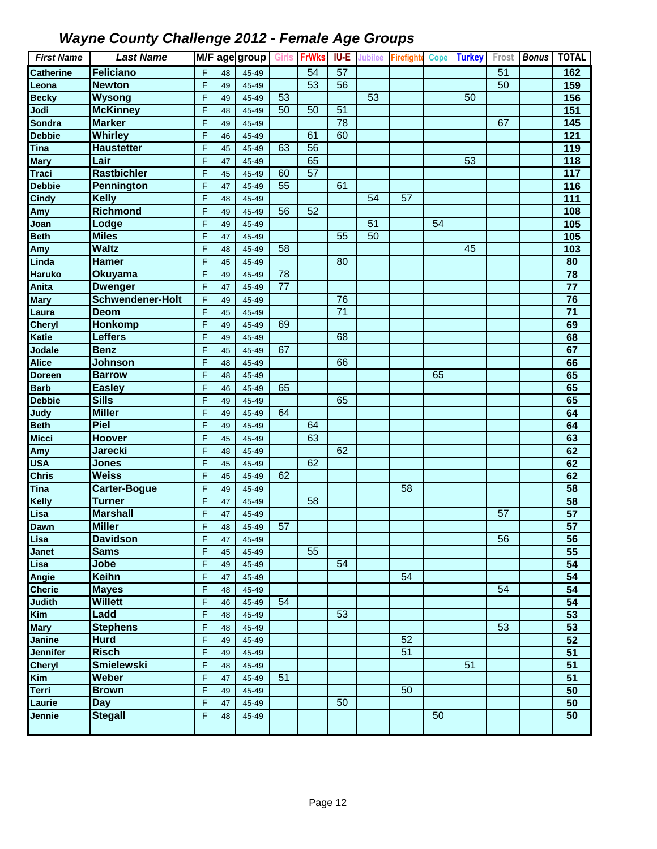| <b>First Name</b>         | <b>Last Name</b>                  |        |          | M/F age group  | <b>Girls</b>    | <b>FrWks</b> | <b>IU-E</b>     | <b>Jubilee</b>  | <b>Firefighte Cope Turkey</b> |                 |                 |    | Frost Bonus | <b>TOTAL</b>     |
|---------------------------|-----------------------------------|--------|----------|----------------|-----------------|--------------|-----------------|-----------------|-------------------------------|-----------------|-----------------|----|-------------|------------------|
| <b>Catherine</b>          | Feliciano                         | F      | 48       | 45-49          |                 | 54           | 57              |                 |                               |                 |                 | 51 |             | 162              |
| Leona                     | <b>Newton</b>                     | F      | 49       | 45-49          |                 | 53           | $\overline{56}$ |                 |                               |                 |                 | 50 |             | 159              |
| <b>Becky</b>              | Wysong                            | F      | 49       | 45-49          | 53              |              |                 | 53              |                               |                 | 50              |    |             | 156              |
| Jodi                      | <b>McKinney</b>                   | F      | 48       | 45-49          | 50              | 50           | 51              |                 |                               |                 |                 |    |             | 151              |
| Sondra                    | <b>Marker</b>                     | F      | 49       | 45-49          |                 |              | 78              |                 |                               |                 |                 | 67 |             | 145              |
| <b>Debbie</b>             | <b>Whirley</b>                    | F      | 46       | 45-49          |                 | 61           | 60              |                 |                               |                 |                 |    |             | 121              |
| Tina                      | <b>Haustetter</b>                 | F      | 45       | 45-49          | 63              | 56           |                 |                 |                               |                 |                 |    |             | 119              |
| <b>Mary</b>               | Lair                              | F      | 47       | 45-49          |                 | 65           |                 |                 |                               |                 | $\overline{53}$ |    |             | $\frac{1}{18}$   |
| <b>Traci</b>              | <b>Rastbichler</b>                | F      | 45       | 45-49          | 60              | 57           |                 |                 |                               |                 |                 |    |             | 117              |
| <b>Debbie</b>             | Pennington                        | F      | 47       | 45-49          | 55              |              | 61              |                 |                               |                 |                 |    |             | 116              |
| <b>Cindy</b>              | <b>Kelly</b>                      | F      | 48       | 45-49          |                 |              |                 | 54              | 57                            |                 |                 |    |             | $\overline{111}$ |
| Amy                       | <b>Richmond</b>                   | F      | 49       | 45-49          | 56              | 52           |                 |                 |                               |                 |                 |    |             | 108              |
| Joan                      | Lodge                             | F      | 49       | 45-49          |                 |              |                 | $\overline{51}$ |                               | $\overline{54}$ |                 |    |             | 105              |
| <b>Beth</b>               | <b>Miles</b>                      | F      | 47       | 45-49          |                 |              | 55              | 50              |                               |                 |                 |    |             | 105              |
| Amy                       | <b>Waltz</b>                      | F      | 48       | 45-49          | 58              |              |                 |                 |                               |                 | 45              |    |             | 103              |
| Linda                     | <b>Hamer</b>                      | F      | 45       | 45-49          |                 |              | 80              |                 |                               |                 |                 |    |             | 80               |
| <b>Haruko</b>             | <b>Okuyama</b>                    | F      | 49       | 45-49          | 78              |              |                 |                 |                               |                 |                 |    |             | $\overline{78}$  |
| Anita                     | <b>Dwenger</b>                    | F      | 47       | 45-49          | $\overline{77}$ |              |                 |                 |                               |                 |                 |    |             | $\overline{77}$  |
| <b>Mary</b>               | <b>Schwendener-Holt</b>           | F      | 49       | 45-49          |                 |              | 76              |                 |                               |                 |                 |    |             | 76               |
| Laura                     | <b>Deom</b>                       | F      | 45       | 45-49          |                 |              | $\overline{71}$ |                 |                               |                 |                 |    |             | $\overline{71}$  |
| <b>Cheryl</b>             | <b>Honkomp</b>                    | F      | 49       | 45-49          | 69              |              |                 |                 |                               |                 |                 |    |             | 69               |
| Katie                     | <b>Leffers</b>                    | F      | 49       | 45-49          |                 |              | 68              |                 |                               |                 |                 |    |             | 68               |
| Jodale                    | <b>Benz</b>                       | F      | 45       | 45-49          | 67              |              |                 |                 |                               |                 |                 |    |             | 67               |
| <b>Alice</b>              | Johnson                           | F      | 48       | 45-49          |                 |              | 66              |                 |                               |                 |                 |    |             | 66               |
| Doreen<br><b>Barb</b>     | <b>Barrow</b>                     | F<br>F | 48       | 45-49          | 65              |              |                 |                 |                               | 65              |                 |    |             | 65<br>65         |
| <b>Debbie</b>             | <b>Easley</b><br><b>Sills</b>     | F      | 46<br>49 | 45-49<br>45-49 |                 |              | 65              |                 |                               |                 |                 |    |             | 65               |
| Judy                      | <b>Miller</b>                     | F      | 49       | 45-49          | 64              |              |                 |                 |                               |                 |                 |    |             | 64               |
| <b>Beth</b>               | <b>Piel</b>                       | F      | 49       | 45-49          |                 | 64           |                 |                 |                               |                 |                 |    |             | 64               |
| Micci                     | <b>Hoover</b>                     | F      | 45       | 45-49          |                 | 63           |                 |                 |                               |                 |                 |    |             | 63               |
| Amy                       | <b>Jarecki</b>                    | F      | 48       | 45-49          |                 |              | 62              |                 |                               |                 |                 |    |             | 62               |
| <b>USA</b>                | <b>Jones</b>                      | F      | 45       | 45-49          |                 | 62           |                 |                 |                               |                 |                 |    |             | 62               |
| <b>Chris</b>              | <b>Weiss</b>                      | F      | 45       | 45-49          | 62              |              |                 |                 |                               |                 |                 |    |             | 62               |
| Tina                      | Carter-Bogue                      | F      | 49       | 45-49          |                 |              |                 |                 | 58                            |                 |                 |    |             | 58               |
| Kelly                     | <b>Turner</b>                     | F      | 47       | 45-49          |                 | 58           |                 |                 |                               |                 |                 |    |             | $\overline{58}$  |
| Lisa                      | <b>Marshall</b>                   | F      | 47       | 45-49          |                 |              |                 |                 |                               |                 |                 | 57 |             | 57               |
| <b>Dawn</b>               | <b>Miller</b>                     | F      | 48       | 45-49          | 57              |              |                 |                 |                               |                 |                 |    |             | 57               |
| Lisa                      | <b>Davidson</b>                   | F      | 47       | 45-49          |                 |              |                 |                 |                               |                 |                 | 56 |             | 56               |
| Janet                     | <b>Sams</b>                       | F      | 45       | 45-49          |                 | 55           |                 |                 |                               |                 |                 |    |             | 55               |
| Lisa                      | Jobe                              | F      | 49       | 45-49          |                 |              | $\overline{54}$ |                 |                               |                 |                 |    |             | $\overline{54}$  |
| Angie                     | Keihn                             | F      | 47       | 45-49          |                 |              |                 |                 | 54                            |                 |                 |    |             | 54               |
| <b>Cherie</b>             | <b>Mayes</b>                      | F      | 48       | 45-49          |                 |              |                 |                 |                               |                 |                 | 54 |             | 54               |
| <b>Judith</b>             | <b>Willett</b>                    | F      | 46       | 45-49          | 54              |              |                 |                 |                               |                 |                 |    |             | $\overline{54}$  |
| Kim                       | Ladd                              | F      | 48       | 45-49          |                 |              | 53              |                 |                               |                 |                 |    |             | $\overline{53}$  |
| <b>Mary</b>               | <b>Stephens</b>                   | F      | 48       | 45-49          |                 |              |                 |                 |                               |                 |                 | 53 |             | 53               |
| Janine                    | <b>Hurd</b>                       | F      | 49       | 45-49          |                 |              |                 |                 | 52                            |                 |                 |    |             | 52               |
| Jennifer<br><b>Cheryl</b> | <b>Risch</b><br><b>Smielewski</b> | F<br>F | 49<br>48 | 45-49<br>45-49 |                 |              |                 |                 | 51                            |                 | 51              |    |             | 51<br>51         |
| Kim                       | Weber                             | F      | 47       | 45-49          | 51              |              |                 |                 |                               |                 |                 |    |             | $\overline{51}$  |
| Terri                     | <b>Brown</b>                      | F      | 49       | 45-49          |                 |              |                 |                 | 50                            |                 |                 |    |             | 50               |
| Laurie                    | <b>Day</b>                        | F      | 47       | 45-49          |                 |              | 50              |                 |                               |                 |                 |    |             | $\overline{50}$  |
| Jennie                    | <b>Stegall</b>                    | F      | 48       | 45-49          |                 |              |                 |                 |                               | 50              |                 |    |             | $\overline{50}$  |
|                           |                                   |        |          |                |                 |              |                 |                 |                               |                 |                 |    |             |                  |
|                           |                                   |        |          |                |                 |              |                 |                 |                               |                 |                 |    |             |                  |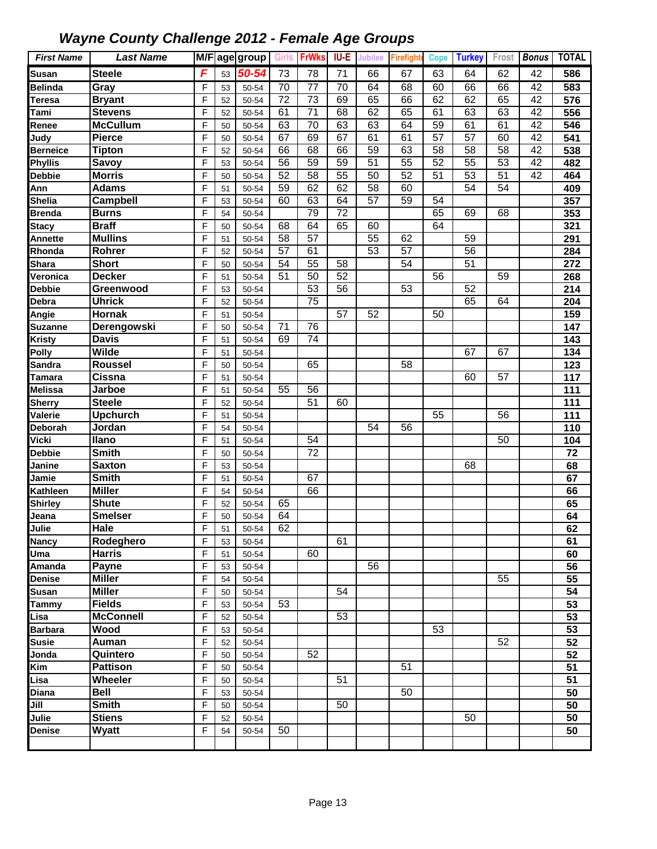| <b>First Name</b>    | <b>Last Name</b>               |        |          | M/F age group  |    | Girls FrWks IU-E |                 | <b>Jubilee</b>  | <b>Firefighte</b> | <b>Cope</b>     | <b>Turkey</b>   | Frost           | Bonus           | <b>TOTAL</b>    |
|----------------------|--------------------------------|--------|----------|----------------|----|------------------|-----------------|-----------------|-------------------|-----------------|-----------------|-----------------|-----------------|-----------------|
| <b>Susan</b>         | <b>Steele</b>                  | F      | 53       | 50-54          | 73 | 78               | 71              | 66              | 67                | 63              | 64              | 62              | 42              | 586             |
| <b>Belinda</b>       | Gray                           | F      | 53       | 50-54          | 70 | $\overline{77}$  | $\overline{70}$ | 64              | 68                | 60              | 66              | 66              | 42              | 583             |
| Teresa               | <b>Bryant</b>                  | F      | 52       | 50-54          | 72 | $\overline{73}$  | 69              | 65              | 66                | 62              | 62              | 65              | 42              | 576             |
| Tami                 | <b>Stevens</b>                 | F      | 52       | 50-54          | 61 | $\overline{71}$  | 68              | 62              | 65                | 61              | 63              | 63              | $\overline{42}$ | 556             |
| Renee                | <b>McCullum</b>                | F      | 50       | 50-54          | 63 | 70               | 63              | 63              | 64                | 59              | 61              | 61              | 42              | 546             |
| Judy                 | <b>Pierce</b>                  | F      | 50       | 50-54          | 67 | 69               | 67              | 61              | 61                | $\overline{57}$ | 57              | 60              | $\overline{42}$ | 541             |
| <b>Berneice</b>      | <b>Tipton</b>                  | F      | 52       | 50-54          | 66 | 68               | 66              | 59              | 63                | 58              | 58              | 58              | 42              | 538             |
| Phyllis              | Savoy                          | F      | 53       | 50-54          | 56 | 59               | 59              | 51              | 55                | 52              | 55              | 53              | 42              | 482             |
| <b>Debbie</b>        | <b>Morris</b>                  | F      | 50       | 50-54          | 52 | $\overline{58}$  | 55              | 50              | 52                | $\overline{51}$ | $\overline{53}$ | $\overline{51}$ | $\overline{42}$ | 464             |
| Ann                  | <b>Adams</b>                   | F      | 51       | 50-54          | 59 | 62               | 62              | 58              | 60                |                 | 54              | 54              |                 | 409             |
| <b>Shelia</b>        | Campbell                       | F      | 53       | 50-54          | 60 | 63               | 64              | $\overline{57}$ | 59                | 54              |                 |                 |                 | 357             |
| <b>Brenda</b>        | <b>Burns</b>                   | F      | 54       | 50-54          |    | 79               | $\overline{72}$ |                 |                   | 65              | 69              | 68              |                 | 353             |
| <b>Stacy</b>         | <b>Braff</b>                   | F      | 50       | 50-54          | 68 | 64               | 65              | 60              |                   | 64              |                 |                 |                 | 321             |
| Annette              | <b>Mullins</b>                 | F      | 51       | 50-54          | 58 | 57               |                 | 55              | 62                |                 | 59              |                 |                 | 291             |
| Rhonda               | Rohrer                         | F      | 52       | 50-54          | 57 | 61               |                 | 53              | $\overline{57}$   |                 | 56              |                 |                 | 284             |
| <b>Shara</b>         | <b>Short</b>                   | F      | 50       | 50-54          | 54 | 55               | 58              |                 | 54                |                 | 51              |                 |                 | 272             |
| Veronica             | <b>Decker</b>                  | F      | 51       | 50-54          | 51 | 50               | $\overline{52}$ |                 |                   | $\overline{56}$ |                 | 59              |                 | 268             |
| <b>Debbie</b>        | Greenwood                      | F      | 53       | 50-54          |    | 53               | $\overline{56}$ |                 | 53                |                 | 52              |                 |                 | 214             |
| Debra                | <b>Uhrick</b>                  | F      | 52       | 50-54          |    | 75               |                 |                 |                   |                 | 65              | 64              |                 | 204             |
| Angie                | <b>Hornak</b>                  | F      | 51       | 50-54          |    |                  | $\overline{57}$ | 52              |                   | 50              |                 |                 |                 | 159             |
| <b>Suzanne</b>       | Derengowski                    | F      | 50       | 50-54          | 71 | 76               |                 |                 |                   |                 |                 |                 |                 | 147             |
| <b>Kristy</b>        | <b>Davis</b>                   | F      | 51       | 50-54          | 69 | 74               |                 |                 |                   |                 |                 |                 |                 | 143             |
| Polly                | <b>Wilde</b>                   | F      | 51       | 50-54          |    |                  |                 |                 |                   |                 | 67              | 67              |                 | 134             |
| <b>Sandra</b>        | <b>Roussel</b>                 | F      | 50       | 50-54          |    | 65               |                 |                 | 58                |                 |                 |                 |                 | 123             |
| <b>Tamara</b>        | Cissna                         | F      | 51       | 50-54          |    |                  |                 |                 |                   |                 | 60              | $\overline{57}$ |                 | 117             |
| Melissa              | Jarboe                         | F      | 51       | 50-54          | 55 | 56               |                 |                 |                   |                 |                 |                 |                 | 111             |
| <b>Sherry</b>        | <b>Steele</b>                  | F      | 52       | 50-54          |    | 51               | 60              |                 |                   |                 |                 |                 |                 | 111             |
| Valerie              | <b>Upchurch</b>                | F      | 51       | 50-54          |    |                  |                 |                 |                   | 55              |                 | 56              |                 | 111             |
| Deborah              | Jordan                         | F      | 54       | 50-54          |    |                  |                 | 54              | 56                |                 |                 |                 |                 | 110             |
| Vicki                | <b>Ilano</b>                   | F      | 51       | 50-54          |    | 54               |                 |                 |                   |                 |                 | 50              |                 | 104             |
| <b>Debbie</b>        | <b>Smith</b>                   | F      | 50       | 50-54          |    | $\overline{72}$  |                 |                 |                   |                 |                 |                 |                 | $\overline{72}$ |
| Janine               | <b>Saxton</b>                  | F      | 53       | 50-54          |    |                  |                 |                 |                   |                 | 68              |                 |                 | 68              |
| Jamie                | <b>Smith</b>                   | F      | 51       | 50-54          |    | 67               |                 |                 |                   |                 |                 |                 |                 | 67              |
| Kathleen             | <b>Miller</b>                  | F      | 54       | 50-54          |    | 66               |                 |                 |                   |                 |                 |                 |                 | 66              |
| <b>Shirley</b>       | <b>Shute</b>                   | F      | 52       | 50-54          | 65 |                  |                 |                 |                   |                 |                 |                 |                 | 65              |
| Jeana                | <b>Smelser</b>                 | F      | 50       | 50-54          | 64 |                  |                 |                 |                   |                 |                 |                 |                 | 64              |
| Julie                | <b>Hale</b>                    | F      | 51       | $50 - 54$      | 62 |                  |                 |                 |                   |                 |                 |                 |                 | 62              |
| <b>Nancy</b>         | Rodeghero                      | F      | 53       | 50-54          |    |                  | 61              |                 |                   |                 |                 |                 |                 | 61              |
| Uma                  | <b>Harris</b>                  | F      | 51       | 50-54          |    | 60               |                 |                 |                   |                 |                 |                 |                 | 60              |
| Amanda               | Payne                          | F      | 53       | 50-54          |    |                  |                 | 56              |                   |                 |                 |                 |                 | 56              |
| Denise               | <b>Miller</b><br><b>Miller</b> | F<br>F | 54       | 50-54          |    |                  | 54              |                 |                   |                 |                 | 55              |                 | 55              |
| <b>Susan</b>         | <b>Fields</b>                  | F      | 50       | 50-54          | 53 |                  |                 |                 |                   |                 |                 |                 |                 | 54              |
| <b>Tammy</b><br>Lisa | <b>McConnell</b>               | F      | 53       | 50-54<br>50-54 |    |                  | 53              |                 |                   |                 |                 |                 |                 | 53              |
| <b>Barbara</b>       | Wood                           | F      | 52       |                |    |                  |                 |                 |                   | 53              |                 |                 |                 | 53<br>53        |
| <b>Susie</b>         | Auman                          | F      | 53       | 50-54          |    |                  |                 |                 |                   |                 |                 | 52              |                 |                 |
| Jonda                | Quintero                       | F      | 52       | 50-54<br>50-54 |    | 52               |                 |                 |                   |                 |                 |                 |                 | 52              |
| Kim                  | <b>Pattison</b>                | F      | 50<br>50 | 50-54          |    |                  |                 |                 | 51                |                 |                 |                 |                 | 52<br>51        |
| Lisa                 | Wheeler                        | F      | 50       | 50-54          |    |                  | 51              |                 |                   |                 |                 |                 |                 | 51              |
| Diana                | <b>Bell</b>                    | F      | 53       | 50-54          |    |                  |                 |                 | 50                |                 |                 |                 |                 | 50              |
| Jill                 | <b>Smith</b>                   | F      | 50       | 50-54          |    |                  | 50              |                 |                   |                 |                 |                 |                 | 50              |
| Julie                | <b>Stiens</b>                  | F      | 52       | 50-54          |    |                  |                 |                 |                   |                 | 50              |                 |                 | 50              |
| Denise               | Wyatt                          | F      | 54       | 50-54          | 50 |                  |                 |                 |                   |                 |                 |                 |                 | 50              |
|                      |                                |        |          |                |    |                  |                 |                 |                   |                 |                 |                 |                 |                 |
|                      |                                |        |          |                |    |                  |                 |                 |                   |                 |                 |                 |                 |                 |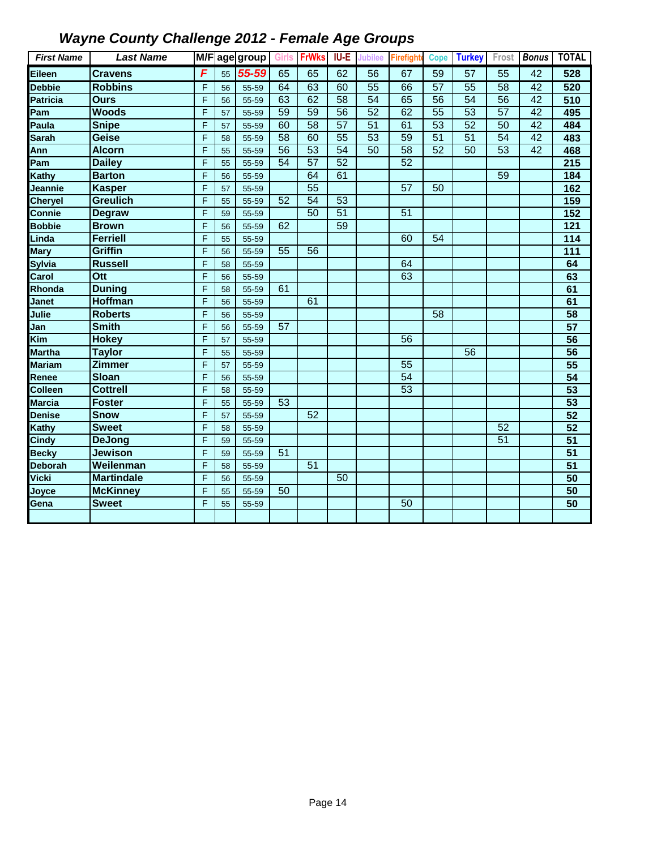| <b>First Name</b> | <b>Last Name</b>  |   |    | M/Fage group |                 | Girls FrWks     | <b>IU-E</b>     | <b>Jubilee</b>  | <b>Firefight</b> | <b>Cope</b>     | <b>Turkey</b>   | Frost           | <b>Bonus</b>    | <b>TOTAL</b>     |
|-------------------|-------------------|---|----|--------------|-----------------|-----------------|-----------------|-----------------|------------------|-----------------|-----------------|-----------------|-----------------|------------------|
| Eileen            | <b>Cravens</b>    | F | 55 | 55-59        | 65              | 65              | 62              | 56              | 67               | 59              | 57              | 55              | 42              | 528              |
| <b>Debbie</b>     | <b>Robbins</b>    | F | 56 | 55-59        | 64              | 63              | 60              | 55              | 66               | $\overline{57}$ | 55              | $\overline{58}$ | $\overline{42}$ | 520              |
| Patricia          | <b>Ours</b>       | F | 56 | 55-59        | 63              | 62              | 58              | 54              | 65               | 56              | $\overline{54}$ | $\overline{56}$ | 42              | 510              |
| Pam               | <b>Woods</b>      | F | 57 | 55-59        | 59              | 59              | 56              | 52              | 62               | $\overline{55}$ | 53              | 57              | 42              | 495              |
| Paula             | <b>Snipe</b>      | F | 57 | 55-59        | 60              | $\overline{58}$ | $\overline{57}$ | $\overline{51}$ | 61               | $\overline{53}$ | 52              | $\overline{50}$ | $\overline{42}$ | 484              |
| Sarah             | <b>Geise</b>      | F | 58 | 55-59        | $\overline{58}$ | 60              | 55              | 53              | 59               | 51              | 51              | 54              | $\overline{42}$ | 483              |
| Ann               | <b>Alcorn</b>     | F | 55 | 55-59        | $\overline{56}$ | 53              | 54              | 50              | $\overline{58}$  | 52              | 50              | 53              | 42              | 468              |
| Pam               | <b>Dailey</b>     | F | 55 | 55-59        | 54              | $\overline{57}$ | 52              |                 | 52               |                 |                 |                 |                 | 215              |
| Kathy             | <b>Barton</b>     | F | 56 | 55-59        |                 | 64              | 61              |                 |                  |                 |                 | 59              |                 | 184              |
| Jeannie           | <b>Kasper</b>     | F | 57 | 55-59        |                 | 55              |                 |                 | 57               | 50              |                 |                 |                 | 162              |
| <b>Cheryel</b>    | <b>Greulich</b>   | F | 55 | 55-59        | 52              | 54              | 53              |                 |                  |                 |                 |                 |                 | 159              |
| Connie            | <b>Degraw</b>     | F | 59 | 55-59        |                 | 50              | 51              |                 | 51               |                 |                 |                 |                 | $\frac{152}{ }$  |
| <b>Bobbie</b>     | <b>Brown</b>      | F | 56 | 55-59        | 62              |                 | 59              |                 |                  |                 |                 |                 |                 | 121              |
| Linda             | <b>Ferriell</b>   | F | 55 | 55-59        |                 |                 |                 |                 | 60               | 54              |                 |                 |                 | 114              |
| <b>Mary</b>       | <b>Griffin</b>    | F | 56 | 55-59        | $\overline{55}$ | $\overline{56}$ |                 |                 |                  |                 |                 |                 |                 | $\overline{111}$ |
| <b>Sylvia</b>     | <b>Russell</b>    | F | 58 | 55-59        |                 |                 |                 |                 | 64               |                 |                 |                 |                 | 64               |
| Carol             | Ott               | F | 56 | 55-59        |                 |                 |                 |                 | 63               |                 |                 |                 |                 | 63               |
| Rhonda            | <b>Duning</b>     | F | 58 | 55-59        | 61              |                 |                 |                 |                  |                 |                 |                 |                 | 61               |
| <b>Janet</b>      | <b>Hoffman</b>    | F | 56 | 55-59        |                 | 61              |                 |                 |                  |                 |                 |                 |                 | 61               |
| Julie             | <b>Roberts</b>    | F | 56 | 55-59        |                 |                 |                 |                 |                  | $\overline{58}$ |                 |                 |                 | $\overline{58}$  |
| Jan               | <b>Smith</b>      | F | 56 | 55-59        | 57              |                 |                 |                 |                  |                 |                 |                 |                 | $\overline{57}$  |
| Kim               | <b>Hokey</b>      | F | 57 | 55-59        |                 |                 |                 |                 | 56               |                 |                 |                 |                 | $\overline{56}$  |
| <b>Martha</b>     | <b>Taylor</b>     | F | 55 | 55-59        |                 |                 |                 |                 |                  |                 | $\overline{56}$ |                 |                 | $\overline{56}$  |
| <b>Mariam</b>     | Zimmer            | F | 57 | 55-59        |                 |                 |                 |                 | 55               |                 |                 |                 |                 | 55               |
| Renee             | <b>Sloan</b>      | F | 56 | 55-59        |                 |                 |                 |                 | 54               |                 |                 |                 |                 | 54               |
| Colleen           | <b>Cottrell</b>   | F | 58 | 55-59        |                 |                 |                 |                 | 53               |                 |                 |                 |                 | 53               |
| Marcia            | <b>Foster</b>     | F | 55 | 55-59        | 53              |                 |                 |                 |                  |                 |                 |                 |                 | 53               |
| <b>Denise</b>     | <b>Snow</b>       | F | 57 | 55-59        |                 | 52              |                 |                 |                  |                 |                 |                 |                 | 52               |
| Kathy             | <b>Sweet</b>      | F | 58 | 55-59        |                 |                 |                 |                 |                  |                 |                 | 52              |                 | $\overline{52}$  |
| <b>Cindy</b>      | <b>DeJong</b>     | F | 59 | 55-59        |                 |                 |                 |                 |                  |                 |                 | 51              |                 | 51               |
| <b>Becky</b>      | <b>Jewison</b>    | F | 59 | 55-59        | 51              |                 |                 |                 |                  |                 |                 |                 |                 | $\overline{51}$  |
| Deborah           | Weilenman         | F | 58 | 55-59        |                 | 51              |                 |                 |                  |                 |                 |                 |                 | $\overline{51}$  |
| Vicki             | <b>Martindale</b> | F | 56 | 55-59        |                 |                 | 50              |                 |                  |                 |                 |                 |                 | 50               |
| Joyce             | <b>McKinney</b>   | F | 55 | 55-59        | 50              |                 |                 |                 |                  |                 |                 |                 |                 | 50               |
| Gena              | <b>Sweet</b>      | F | 55 | 55-59        |                 |                 |                 |                 | 50               |                 |                 |                 |                 | $\overline{50}$  |
|                   |                   |   |    |              |                 |                 |                 |                 |                  |                 |                 |                 |                 |                  |